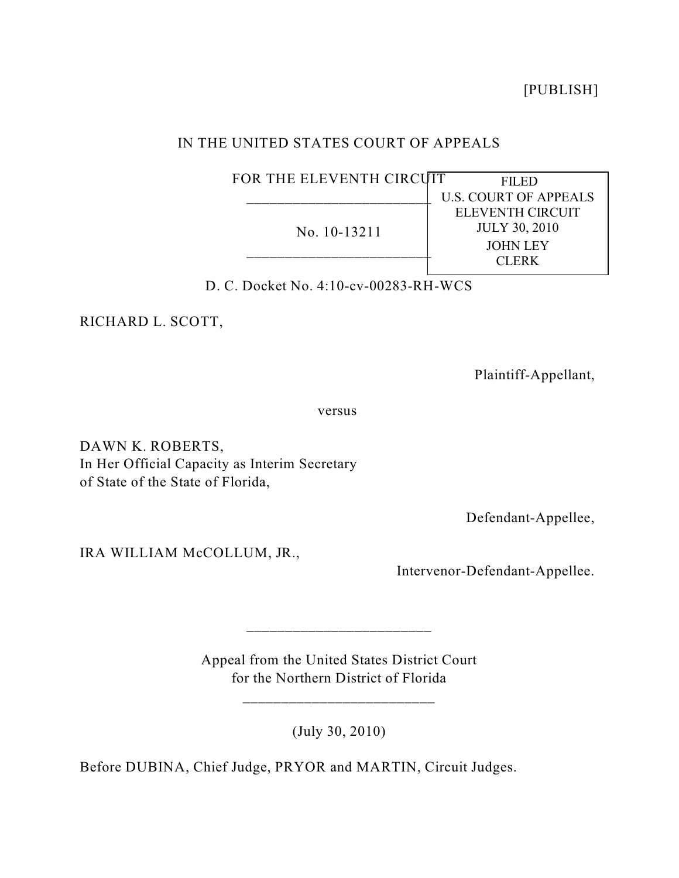[PUBLISH]

# IN THE UNITED STATES COURT OF APPEALS

| FOR THE ELEVENTH CIRCUIT | FILED                        |
|--------------------------|------------------------------|
|                          | <b>U.S. COURT OF APPEALS</b> |
| No. 10-13211             | <b>ELEVENTH CIRCUIT</b>      |
|                          | <b>JULY 30, 2010</b>         |
|                          | <b>JOHN LEY</b>              |
|                          | CLERK                        |
|                          |                              |

D. C. Docket No. 4:10-cv-00283-RH-WCS

RICHARD L. SCOTT,

Plaintiff-Appellant,

versus

DAWN K. ROBERTS, In Her Official Capacity as Interim Secretary of State of the State of Florida,

Defendant-Appellee,

IRA WILLIAM McCOLLUM, JR.,

Intervenor-Defendant-Appellee.

Appeal from the United States District Court for the Northern District of Florida

\_\_\_\_\_\_\_\_\_\_\_\_\_\_\_\_\_\_\_\_\_\_\_\_\_

\_\_\_\_\_\_\_\_\_\_\_\_\_\_\_\_\_\_\_\_\_\_\_\_

(July 30, 2010)

Before DUBINA, Chief Judge, PRYOR and MARTIN, Circuit Judges.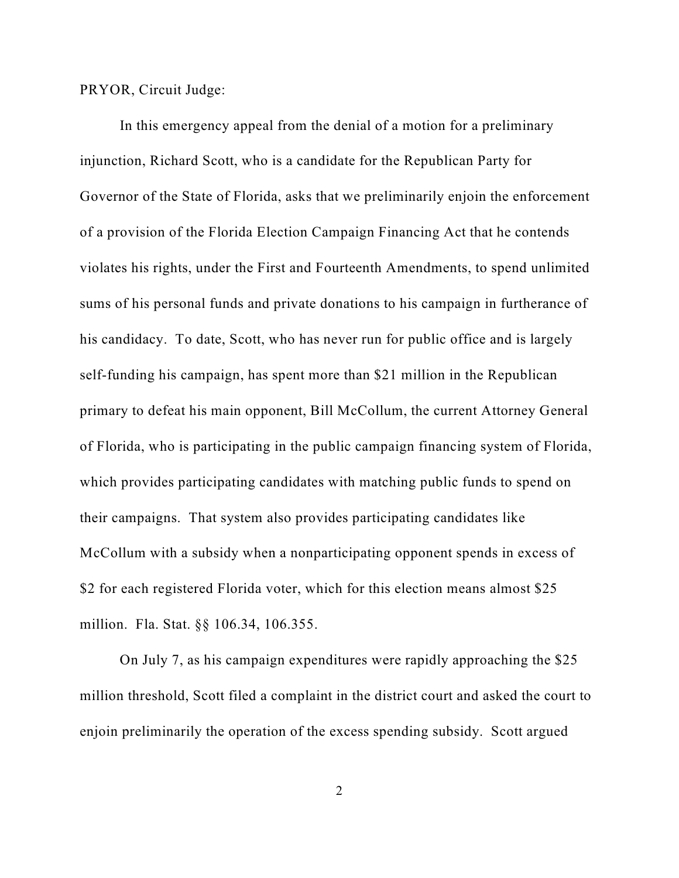PRYOR, Circuit Judge:

In this emergency appeal from the denial of a motion for a preliminary injunction, Richard Scott, who is a candidate for the Republican Party for Governor of the State of Florida, asks that we preliminarily enjoin the enforcement of a provision of the Florida Election Campaign Financing Act that he contends violates his rights, under the First and Fourteenth Amendments, to spend unlimited sums of his personal funds and private donations to his campaign in furtherance of his candidacy. To date, Scott, who has never run for public office and is largely self-funding his campaign, has spent more than \$21 million in the Republican primary to defeat his main opponent, Bill McCollum, the current Attorney General of Florida, who is participating in the public campaign financing system of Florida, which provides participating candidates with matching public funds to spend on their campaigns. That system also provides participating candidates like McCollum with a subsidy when a nonparticipating opponent spends in excess of \$2 for each registered Florida voter, which for this election means almost \$25 million. Fla. Stat. §§ 106.34, 106.355.

On July 7, as his campaign expenditures were rapidly approaching the \$25 million threshold, Scott filed a complaint in the district court and asked the court to enjoin preliminarily the operation of the excess spending subsidy. Scott argued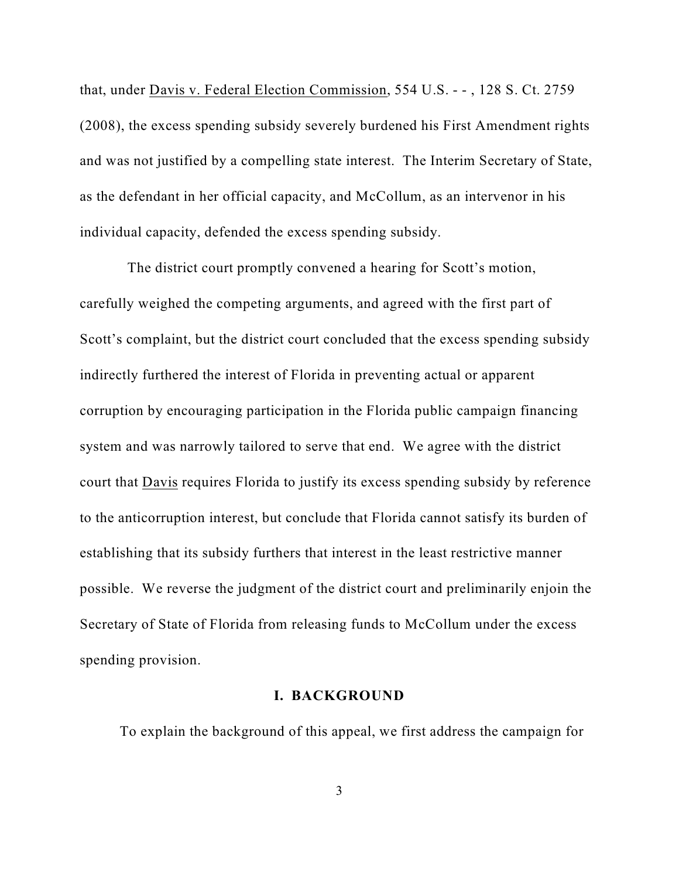that, under Davis v. Federal Election Commission, 554 U.S. - - , 128 S. Ct. 2759 (2008), the excess spending subsidy severely burdened his First Amendment rights and was not justified by a compelling state interest. The Interim Secretary of State, as the defendant in her official capacity, and McCollum, as an intervenor in his individual capacity, defended the excess spending subsidy.

The district court promptly convened a hearing for Scott's motion, carefully weighed the competing arguments, and agreed with the first part of Scott's complaint, but the district court concluded that the excess spending subsidy indirectly furthered the interest of Florida in preventing actual or apparent corruption by encouraging participation in the Florida public campaign financing system and was narrowly tailored to serve that end. We agree with the district court that Davis requires Florida to justify its excess spending subsidy by reference to the anticorruption interest, but conclude that Florida cannot satisfy its burden of establishing that its subsidy furthers that interest in the least restrictive manner possible. We reverse the judgment of the district court and preliminarily enjoin the Secretary of State of Florida from releasing funds to McCollum under the excess spending provision.

## **I. BACKGROUND**

To explain the background of this appeal, we first address the campaign for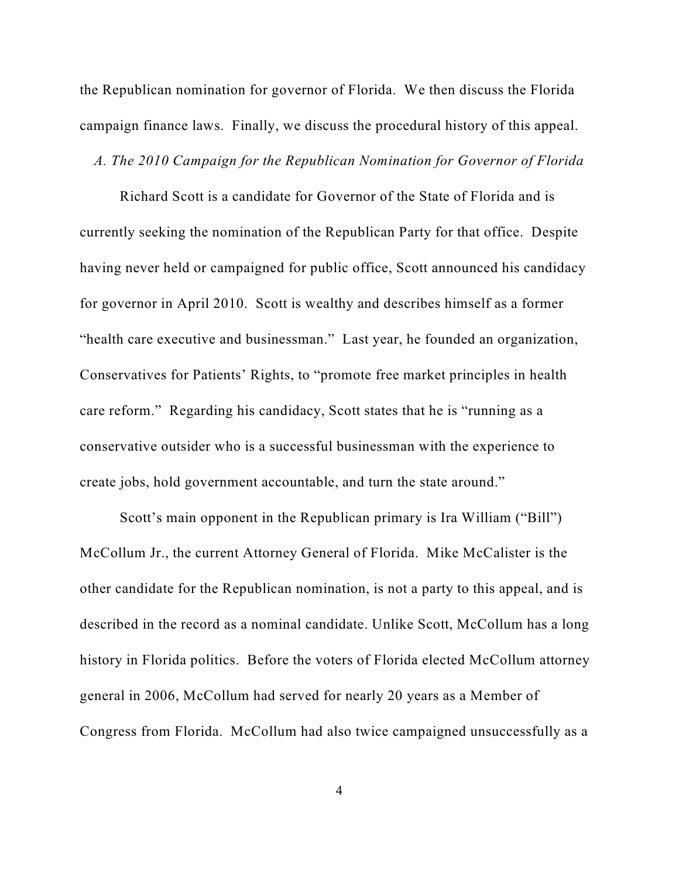the Republican nomination for governor of Florida. We then discuss the Florida campaign finance laws. Finally, we discuss the procedural history of this appeal.

### *A. The 2010 Campaign for the Republican Nomination for Governor of Florida*

Richard Scott is a candidate for Governor of the State of Florida and is currently seeking the nomination of the Republican Party for that office. Despite having never held or campaigned for public office, Scott announced his candidacy for governor in April 2010. Scott is wealthy and describes himself as a former "health care executive and businessman." Last year, he founded an organization, Conservatives for Patients' Rights, to "promote free market principles in health care reform." Regarding his candidacy, Scott states that he is "running as a conservative outsider who is a successful businessman with the experience to create jobs, hold government accountable, and turn the state around."

Scott's main opponent in the Republican primary is Ira William ("Bill") McCollum Jr., the current Attorney General of Florida. Mike McCalister is the other candidate for the Republican nomination, is not a party to this appeal, and is described in the record as a nominal candidate. Unlike Scott, McCollum has a long history in Florida politics. Before the voters of Florida elected McCollum attorney general in 2006, McCollum had served for nearly 20 years as a Member of Congress from Florida. McCollum had also twice campaigned unsuccessfully as a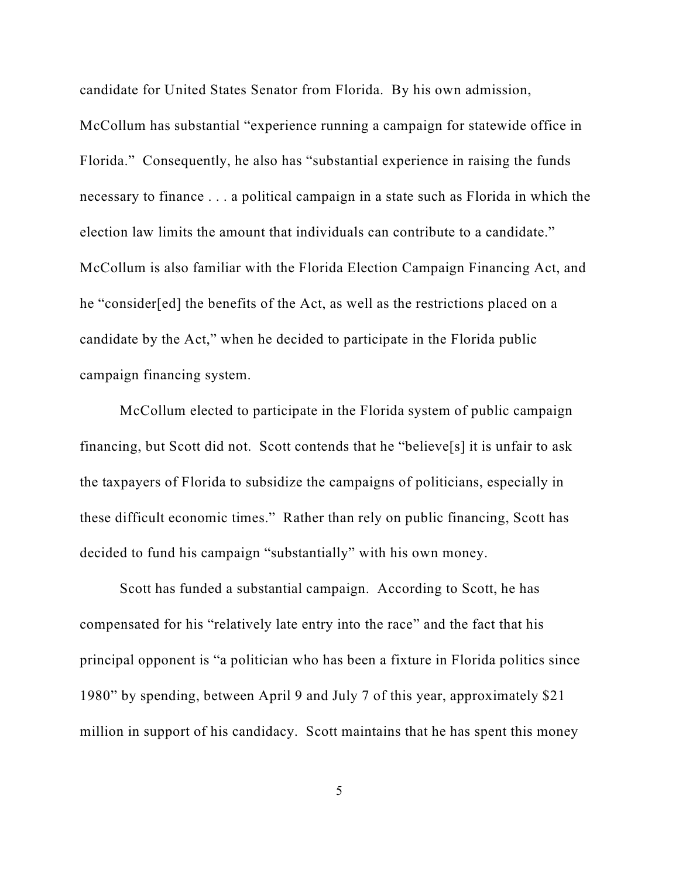candidate for United States Senator from Florida. By his own admission,

McCollum has substantial "experience running a campaign for statewide office in Florida." Consequently, he also has "substantial experience in raising the funds necessary to finance . . . a political campaign in a state such as Florida in which the election law limits the amount that individuals can contribute to a candidate." McCollum is also familiar with the Florida Election Campaign Financing Act, and he "consider[ed] the benefits of the Act, as well as the restrictions placed on a candidate by the Act," when he decided to participate in the Florida public campaign financing system.

McCollum elected to participate in the Florida system of public campaign financing, but Scott did not. Scott contends that he "believe[s] it is unfair to ask the taxpayers of Florida to subsidize the campaigns of politicians, especially in these difficult economic times." Rather than rely on public financing, Scott has decided to fund his campaign "substantially" with his own money.

Scott has funded a substantial campaign. According to Scott, he has compensated for his "relatively late entry into the race" and the fact that his principal opponent is "a politician who has been a fixture in Florida politics since 1980" by spending, between April 9 and July 7 of this year, approximately \$21 million in support of his candidacy. Scott maintains that he has spent this money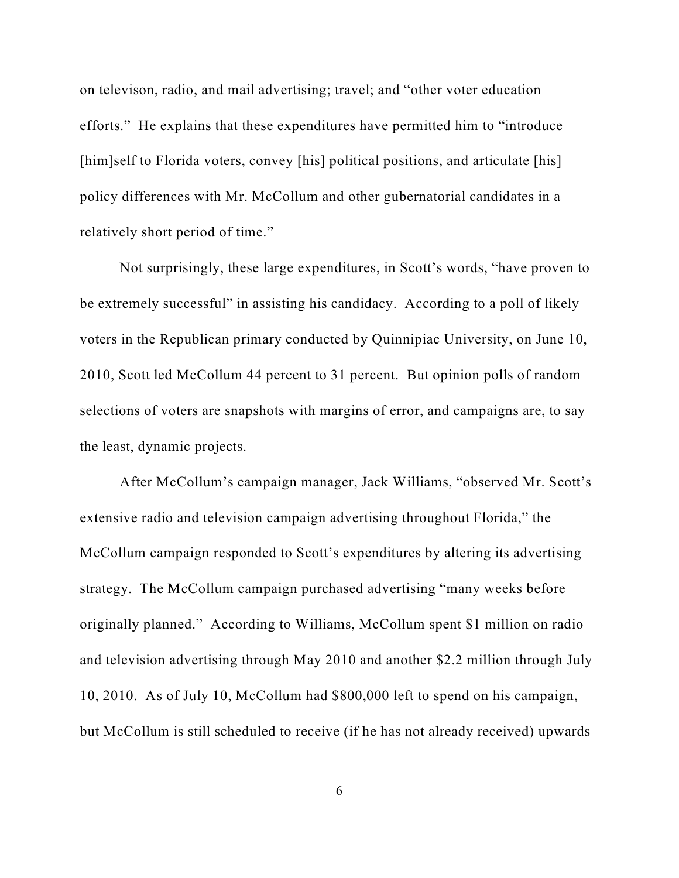on televison, radio, and mail advertising; travel; and "other voter education efforts." He explains that these expenditures have permitted him to "introduce [him]self to Florida voters, convey [his] political positions, and articulate [his] policy differences with Mr. McCollum and other gubernatorial candidates in a relatively short period of time."

Not surprisingly, these large expenditures, in Scott's words, "have proven to be extremely successful" in assisting his candidacy. According to a poll of likely voters in the Republican primary conducted by Quinnipiac University, on June 10, 2010, Scott led McCollum 44 percent to 31 percent. But opinion polls of random selections of voters are snapshots with margins of error, and campaigns are, to say the least, dynamic projects.

After McCollum's campaign manager, Jack Williams, "observed Mr. Scott's extensive radio and television campaign advertising throughout Florida," the McCollum campaign responded to Scott's expenditures by altering its advertising strategy. The McCollum campaign purchased advertising "many weeks before originally planned." According to Williams, McCollum spent \$1 million on radio and television advertising through May 2010 and another \$2.2 million through July 10, 2010. As of July 10, McCollum had \$800,000 left to spend on his campaign, but McCollum is still scheduled to receive (if he has not already received) upwards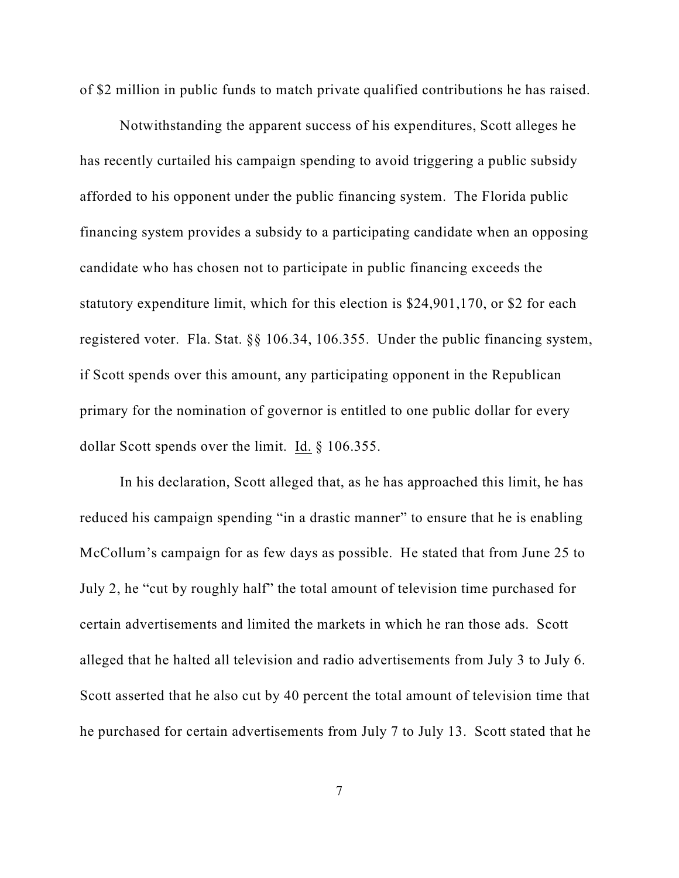of \$2 million in public funds to match private qualified contributions he has raised.

Notwithstanding the apparent success of his expenditures, Scott alleges he has recently curtailed his campaign spending to avoid triggering a public subsidy afforded to his opponent under the public financing system. The Florida public financing system provides a subsidy to a participating candidate when an opposing candidate who has chosen not to participate in public financing exceeds the statutory expenditure limit, which for this election is \$24,901,170, or \$2 for each registered voter. Fla. Stat. §§ 106.34, 106.355. Under the public financing system, if Scott spends over this amount, any participating opponent in the Republican primary for the nomination of governor is entitled to one public dollar for every dollar Scott spends over the limit. Id. § 106.355.

In his declaration, Scott alleged that, as he has approached this limit, he has reduced his campaign spending "in a drastic manner" to ensure that he is enabling McCollum's campaign for as few days as possible. He stated that from June 25 to July 2, he "cut by roughly half" the total amount of television time purchased for certain advertisements and limited the markets in which he ran those ads. Scott alleged that he halted all television and radio advertisements from July 3 to July 6. Scott asserted that he also cut by 40 percent the total amount of television time that he purchased for certain advertisements from July 7 to July 13. Scott stated that he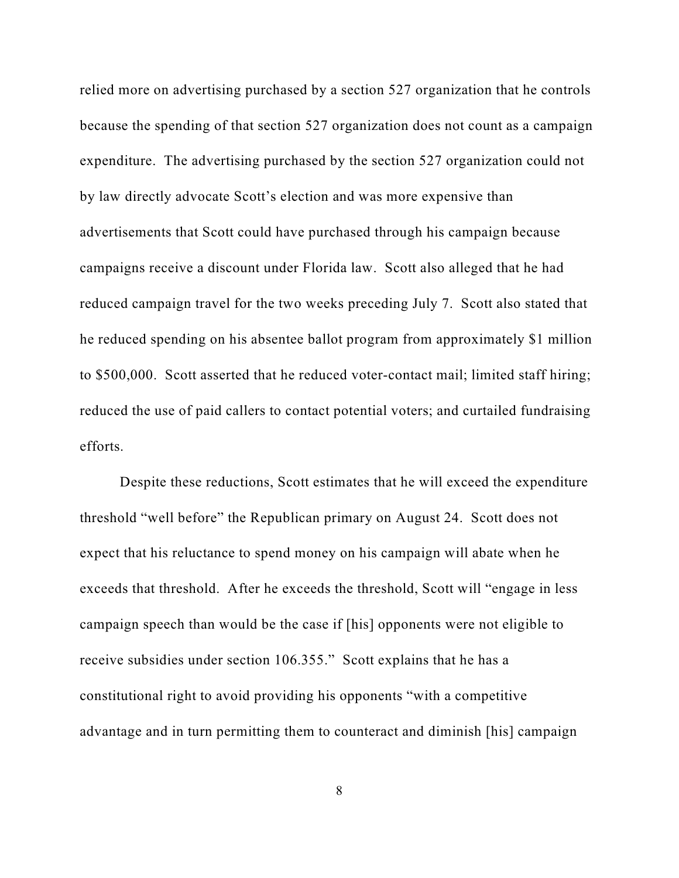relied more on advertising purchased by a section 527 organization that he controls because the spending of that section 527 organization does not count as a campaign expenditure. The advertising purchased by the section 527 organization could not by law directly advocate Scott's election and was more expensive than advertisements that Scott could have purchased through his campaign because campaigns receive a discount under Florida law. Scott also alleged that he had reduced campaign travel for the two weeks preceding July 7. Scott also stated that he reduced spending on his absentee ballot program from approximately \$1 million to \$500,000. Scott asserted that he reduced voter-contact mail; limited staff hiring; reduced the use of paid callers to contact potential voters; and curtailed fundraising efforts.

Despite these reductions, Scott estimates that he will exceed the expenditure threshold "well before" the Republican primary on August 24. Scott does not expect that his reluctance to spend money on his campaign will abate when he exceeds that threshold. After he exceeds the threshold, Scott will "engage in less campaign speech than would be the case if [his] opponents were not eligible to receive subsidies under section 106.355." Scott explains that he has a constitutional right to avoid providing his opponents "with a competitive advantage and in turn permitting them to counteract and diminish [his] campaign

8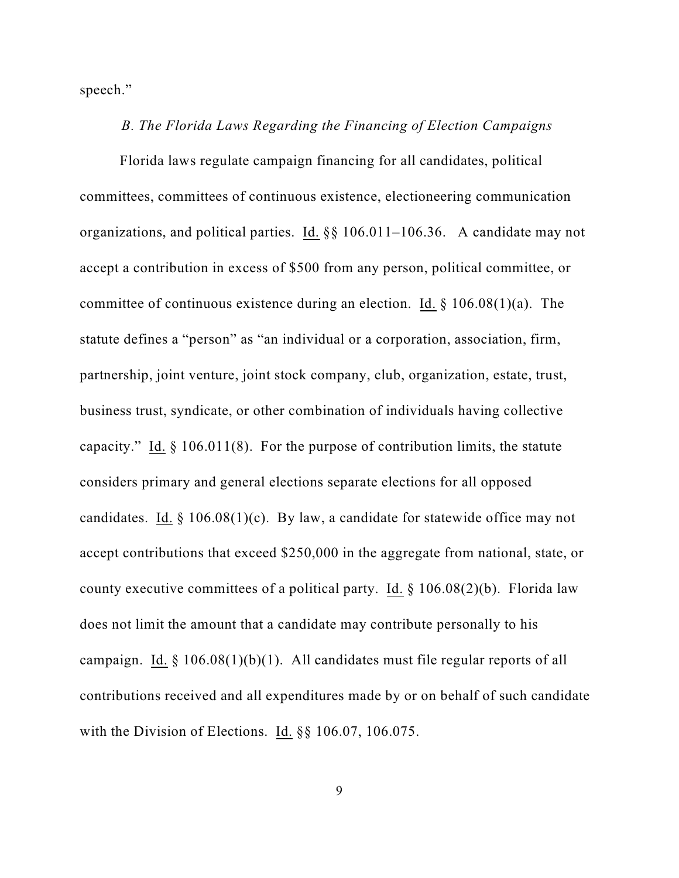speech."

#### *B. The Florida Laws Regarding the Financing of Election Campaigns*

Florida laws regulate campaign financing for all candidates, political committees, committees of continuous existence, electioneering communication organizations, and political parties. Id. §§ 106.011–106.36. A candidate may not accept a contribution in excess of \$500 from any person, political committee, or committee of continuous existence during an election. Id. § 106.08(1)(a). The statute defines a "person" as "an individual or a corporation, association, firm, partnership, joint venture, joint stock company, club, organization, estate, trust, business trust, syndicate, or other combination of individuals having collective capacity." Id.  $\S$  106.011(8). For the purpose of contribution limits, the statute considers primary and general elections separate elections for all opposed candidates. Id.  $\S$  106.08(1)(c). By law, a candidate for statewide office may not accept contributions that exceed \$250,000 in the aggregate from national, state, or county executive committees of a political party. Id.  $\S$  106.08(2)(b). Florida law does not limit the amount that a candidate may contribute personally to his campaign. Id.  $\S 106.08(1)(b)(1)$ . All candidates must file regular reports of all contributions received and all expenditures made by or on behalf of such candidate with the Division of Elections. Id. §§ 106.07, 106.075.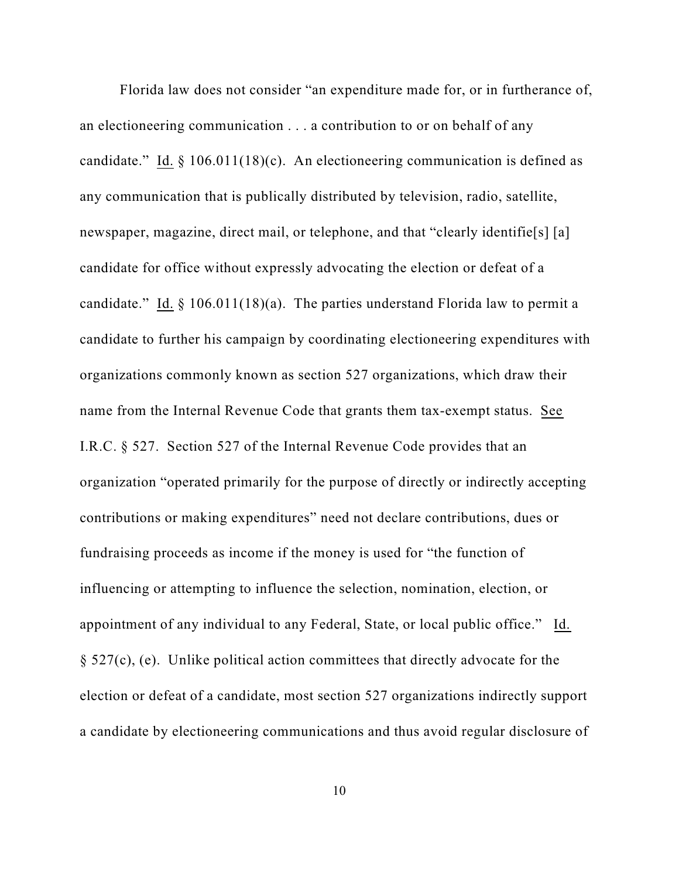Florida law does not consider "an expenditure made for, or in furtherance of, an electioneering communication . . . a contribution to or on behalf of any candidate." Id.  $\S$  106.011(18)(c). An electioneering communication is defined as any communication that is publically distributed by television, radio, satellite, newspaper, magazine, direct mail, or telephone, and that "clearly identifie<sup>[s]</sup> [a] candidate for office without expressly advocating the election or defeat of a candidate." Id.  $\S$  106.011(18)(a). The parties understand Florida law to permit a candidate to further his campaign by coordinating electioneering expenditures with organizations commonly known as section 527 organizations, which draw their name from the Internal Revenue Code that grants them tax-exempt status. See I.R.C. § 527. Section 527 of the Internal Revenue Code provides that an organization "operated primarily for the purpose of directly or indirectly accepting contributions or making expenditures" need not declare contributions, dues or fundraising proceeds as income if the money is used for "the function of influencing or attempting to influence the selection, nomination, election, or appointment of any individual to any Federal, State, or local public office." Id. § 527(c), (e). Unlike political action committees that directly advocate for the election or defeat of a candidate, most section 527 organizations indirectly support a candidate by electioneering communications and thus avoid regular disclosure of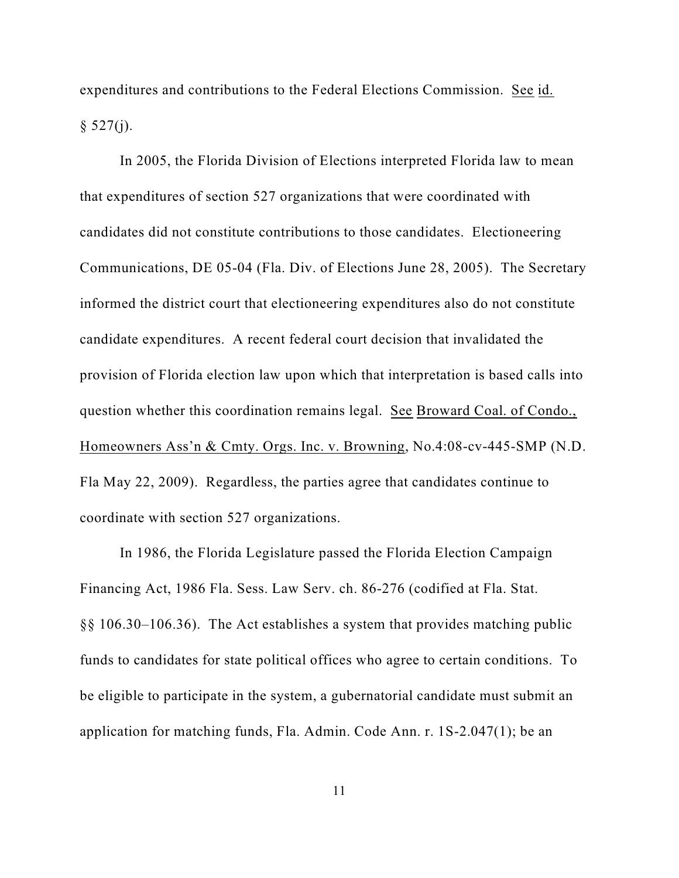expenditures and contributions to the Federal Elections Commission. See id.  $§ 527(i).$ 

In 2005, the Florida Division of Elections interpreted Florida law to mean that expenditures of section 527 organizations that were coordinated with candidates did not constitute contributions to those candidates. Electioneering Communications, DE 05-04 (Fla. Div. of Elections June 28, 2005). The Secretary informed the district court that electioneering expenditures also do not constitute candidate expenditures. A recent federal court decision that invalidated the provision of Florida election law upon which that interpretation is based calls into question whether this coordination remains legal. See Broward Coal. of Condo., Homeowners Ass'n & Cmty. Orgs. Inc. v. Browning, No.4:08-cv-445-SMP (N.D. Fla May 22, 2009). Regardless, the parties agree that candidates continue to coordinate with section 527 organizations.

In 1986, the Florida Legislature passed the Florida Election Campaign Financing Act, 1986 Fla. Sess. Law Serv. ch. 86-276 (codified at Fla. Stat. §§ 106.30–106.36). The Act establishes a system that provides matching public funds to candidates for state political offices who agree to certain conditions. To be eligible to participate in the system, a gubernatorial candidate must submit an application for matching funds, Fla. Admin. Code Ann. r. 1S-2.047(1); be an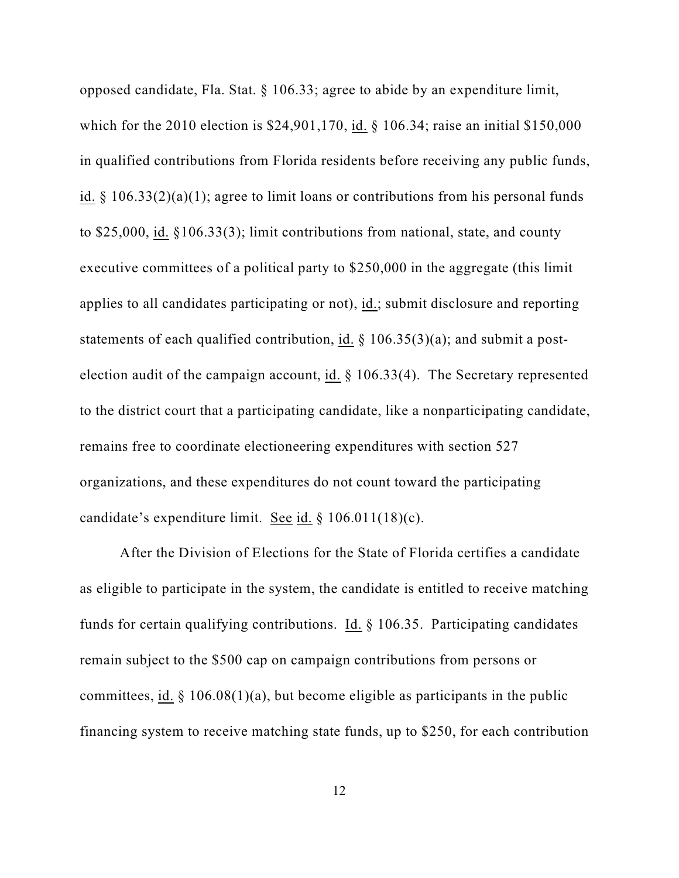opposed candidate, Fla. Stat. § 106.33; agree to abide by an expenditure limit, which for the 2010 election is \$24,901,170, id. § 106.34; raise an initial \$150,000 in qualified contributions from Florida residents before receiving any public funds, id. § 106.33(2)(a)(1); agree to limit loans or contributions from his personal funds to \$25,000, id. §106.33(3); limit contributions from national, state, and county executive committees of a political party to \$250,000 in the aggregate (this limit applies to all candidates participating or not), id.; submit disclosure and reporting statements of each qualified contribution, id. § 106.35(3)(a); and submit a postelection audit of the campaign account, id. § 106.33(4). The Secretary represented to the district court that a participating candidate, like a nonparticipating candidate, remains free to coordinate electioneering expenditures with section 527 organizations, and these expenditures do not count toward the participating candidate's expenditure limit. See id. § 106.011(18)(c).

After the Division of Elections for the State of Florida certifies a candidate as eligible to participate in the system, the candidate is entitled to receive matching funds for certain qualifying contributions. Id. § 106.35. Participating candidates remain subject to the \$500 cap on campaign contributions from persons or committees, id.  $\S$  106.08(1)(a), but become eligible as participants in the public financing system to receive matching state funds, up to \$250, for each contribution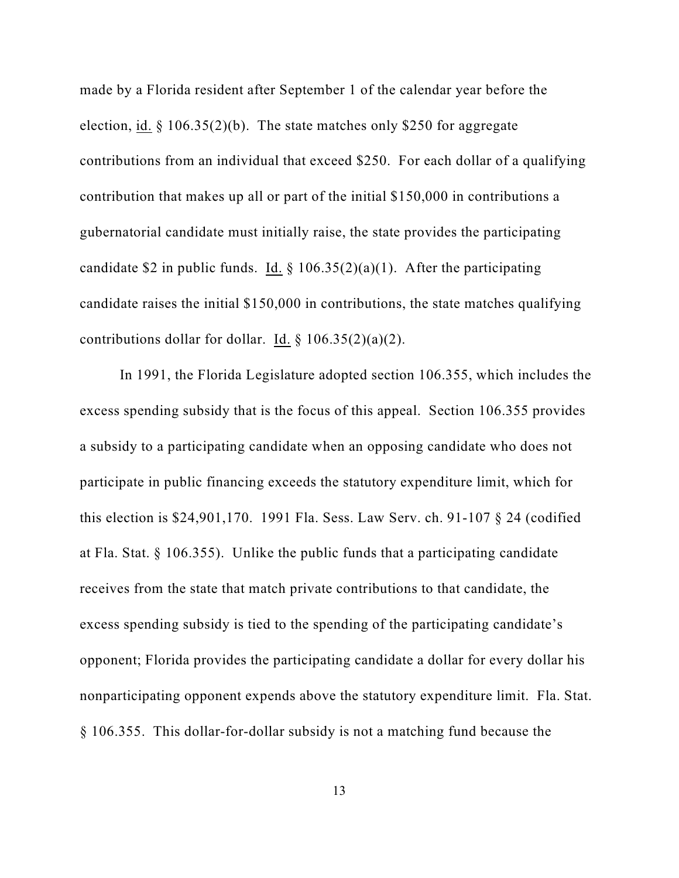made by a Florida resident after September 1 of the calendar year before the election, id.  $\S$  106.35(2)(b). The state matches only \$250 for aggregate contributions from an individual that exceed \$250. For each dollar of a qualifying contribution that makes up all or part of the initial \$150,000 in contributions a gubernatorial candidate must initially raise, the state provides the participating candidate \$2 in public funds. Id.  $\S$  106.35(2)(a)(1). After the participating candidate raises the initial \$150,000 in contributions, the state matches qualifying contributions dollar for dollar. Id.  $\S 106.35(2)(a)(2)$ .

In 1991, the Florida Legislature adopted section 106.355, which includes the excess spending subsidy that is the focus of this appeal. Section 106.355 provides a subsidy to a participating candidate when an opposing candidate who does not participate in public financing exceeds the statutory expenditure limit, which for this election is \$24,901,170. 1991 Fla. Sess. Law Serv. ch. 91-107 § 24 (codified at Fla. Stat. § 106.355). Unlike the public funds that a participating candidate receives from the state that match private contributions to that candidate, the excess spending subsidy is tied to the spending of the participating candidate's opponent; Florida provides the participating candidate a dollar for every dollar his nonparticipating opponent expends above the statutory expenditure limit. Fla. Stat. § 106.355. This dollar-for-dollar subsidy is not a matching fund because the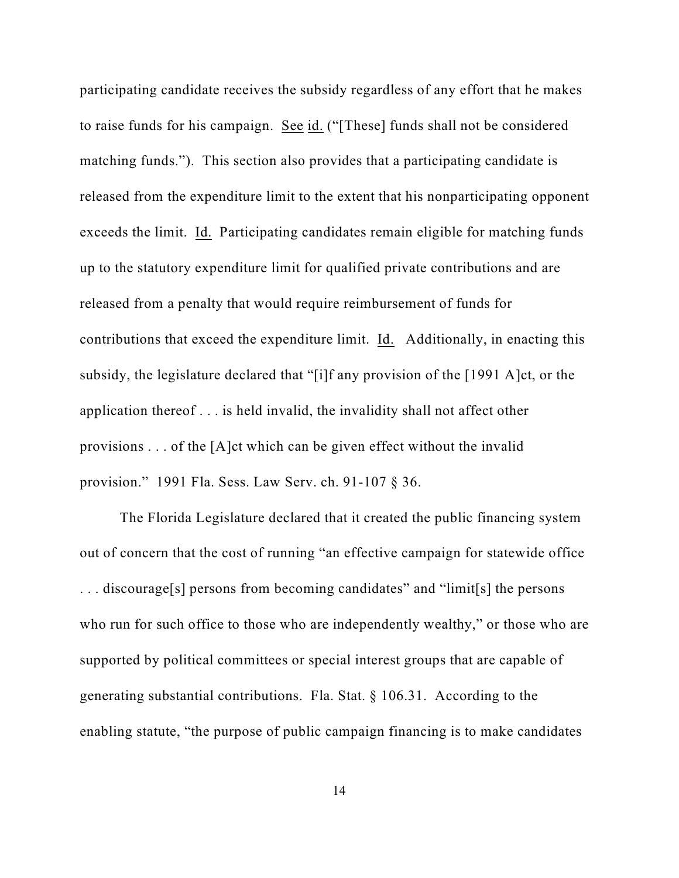participating candidate receives the subsidy regardless of any effort that he makes to raise funds for his campaign. See id. ("[These] funds shall not be considered matching funds."). This section also provides that a participating candidate is released from the expenditure limit to the extent that his nonparticipating opponent exceeds the limit. Id. Participating candidates remain eligible for matching funds up to the statutory expenditure limit for qualified private contributions and are released from a penalty that would require reimbursement of funds for contributions that exceed the expenditure limit. Id. Additionally, in enacting this subsidy, the legislature declared that "[i]f any provision of the [1991 A]ct, or the application thereof . . . is held invalid, the invalidity shall not affect other provisions . . . of the [A]ct which can be given effect without the invalid provision." 1991 Fla. Sess. Law Serv. ch. 91-107 § 36.

The Florida Legislature declared that it created the public financing system out of concern that the cost of running "an effective campaign for statewide office . . . discourage[s] persons from becoming candidates" and "limit[s] the persons who run for such office to those who are independently wealthy," or those who are supported by political committees or special interest groups that are capable of generating substantial contributions. Fla. Stat. § 106.31. According to the enabling statute, "the purpose of public campaign financing is to make candidates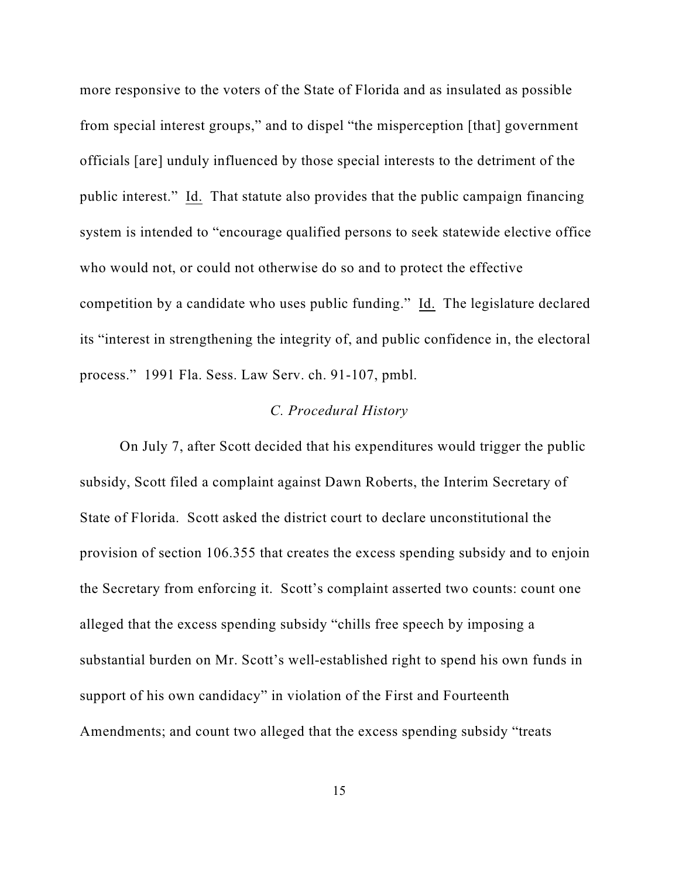more responsive to the voters of the State of Florida and as insulated as possible from special interest groups," and to dispel "the misperception [that] government officials [are] unduly influenced by those special interests to the detriment of the public interest." Id. That statute also provides that the public campaign financing system is intended to "encourage qualified persons to seek statewide elective office who would not, or could not otherwise do so and to protect the effective competition by a candidate who uses public funding." Id. The legislature declared its "interest in strengthening the integrity of, and public confidence in, the electoral process." 1991 Fla. Sess. Law Serv. ch. 91-107, pmbl.

## *C. Procedural History*

On July 7, after Scott decided that his expenditures would trigger the public subsidy, Scott filed a complaint against Dawn Roberts, the Interim Secretary of State of Florida. Scott asked the district court to declare unconstitutional the provision of section 106.355 that creates the excess spending subsidy and to enjoin the Secretary from enforcing it. Scott's complaint asserted two counts: count one alleged that the excess spending subsidy "chills free speech by imposing a substantial burden on Mr. Scott's well-established right to spend his own funds in support of his own candidacy" in violation of the First and Fourteenth Amendments; and count two alleged that the excess spending subsidy "treats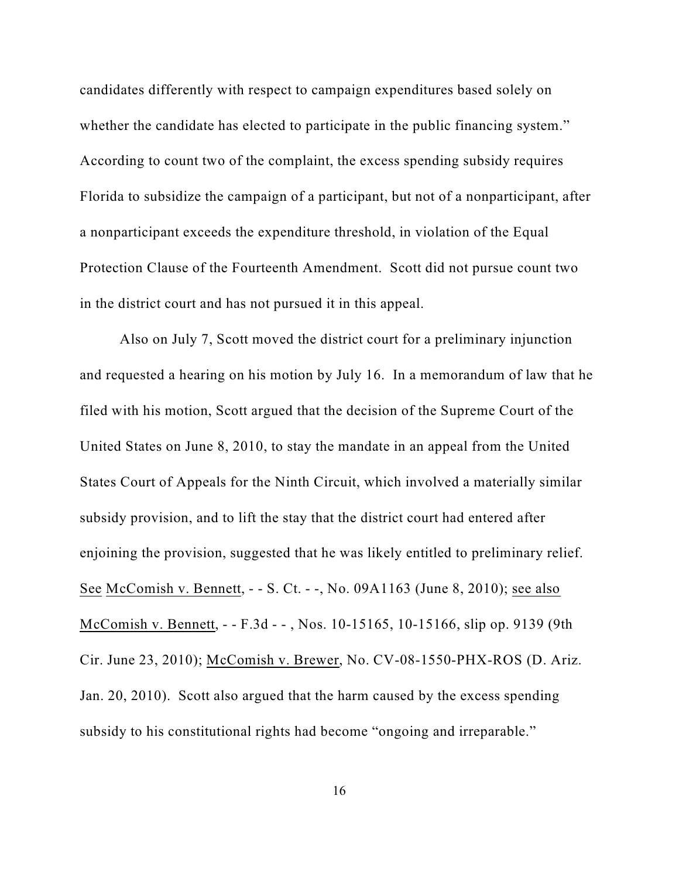candidates differently with respect to campaign expenditures based solely on whether the candidate has elected to participate in the public financing system." According to count two of the complaint, the excess spending subsidy requires Florida to subsidize the campaign of a participant, but not of a nonparticipant, after a nonparticipant exceeds the expenditure threshold, in violation of the Equal Protection Clause of the Fourteenth Amendment. Scott did not pursue count two in the district court and has not pursued it in this appeal.

Also on July 7, Scott moved the district court for a preliminary injunction and requested a hearing on his motion by July 16. In a memorandum of law that he filed with his motion, Scott argued that the decision of the Supreme Court of the United States on June 8, 2010, to stay the mandate in an appeal from the United States Court of Appeals for the Ninth Circuit, which involved a materially similar subsidy provision, and to lift the stay that the district court had entered after enjoining the provision, suggested that he was likely entitled to preliminary relief. See McComish v. Bennett, - - S. Ct. - -, No. 09A1163 (June 8, 2010); see also McComish v. Bennett, - - F.3d - - , Nos. 10-15165, 10-15166, slip op. 9139 (9th Cir. June 23, 2010); McComish v. Brewer, No. CV-08-1550-PHX-ROS (D. Ariz. Jan. 20, 2010). Scott also argued that the harm caused by the excess spending subsidy to his constitutional rights had become "ongoing and irreparable."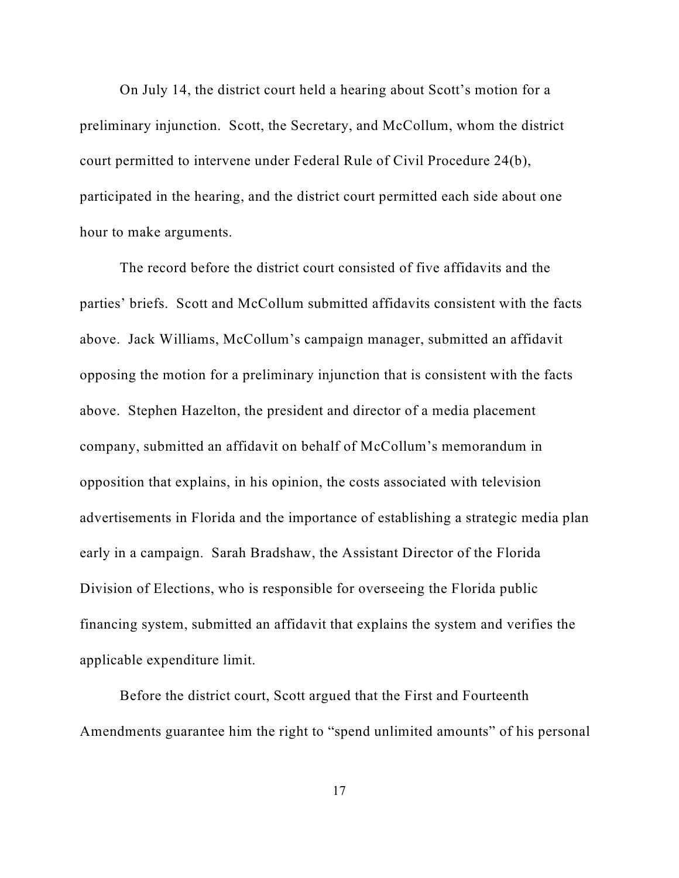On July 14, the district court held a hearing about Scott's motion for a preliminary injunction. Scott, the Secretary, and McCollum, whom the district court permitted to intervene under Federal Rule of Civil Procedure 24(b), participated in the hearing, and the district court permitted each side about one hour to make arguments.

The record before the district court consisted of five affidavits and the parties' briefs. Scott and McCollum submitted affidavits consistent with the facts above. Jack Williams, McCollum's campaign manager, submitted an affidavit opposing the motion for a preliminary injunction that is consistent with the facts above. Stephen Hazelton, the president and director of a media placement company, submitted an affidavit on behalf of McCollum's memorandum in opposition that explains, in his opinion, the costs associated with television advertisements in Florida and the importance of establishing a strategic media plan early in a campaign. Sarah Bradshaw, the Assistant Director of the Florida Division of Elections, who is responsible for overseeing the Florida public financing system, submitted an affidavit that explains the system and verifies the applicable expenditure limit.

Before the district court, Scott argued that the First and Fourteenth Amendments guarantee him the right to "spend unlimited amounts" of his personal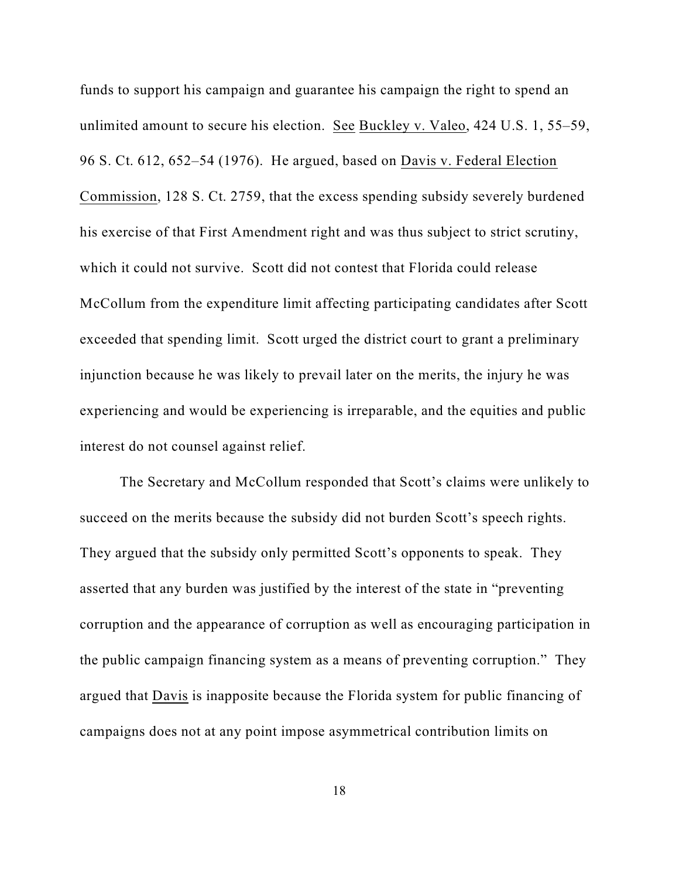funds to support his campaign and guarantee his campaign the right to spend an unlimited amount to secure his election. See Buckley v. Valeo, 424 U.S. 1, 55–59, 96 S. Ct. 612, 652–54 (1976). He argued, based on Davis v. Federal Election Commission, 128 S. Ct. 2759, that the excess spending subsidy severely burdened his exercise of that First Amendment right and was thus subject to strict scrutiny, which it could not survive. Scott did not contest that Florida could release McCollum from the expenditure limit affecting participating candidates after Scott exceeded that spending limit. Scott urged the district court to grant a preliminary injunction because he was likely to prevail later on the merits, the injury he was experiencing and would be experiencing is irreparable, and the equities and public interest do not counsel against relief.

The Secretary and McCollum responded that Scott's claims were unlikely to succeed on the merits because the subsidy did not burden Scott's speech rights. They argued that the subsidy only permitted Scott's opponents to speak. They asserted that any burden was justified by the interest of the state in "preventing corruption and the appearance of corruption as well as encouraging participation in the public campaign financing system as a means of preventing corruption." They argued that Davis is inapposite because the Florida system for public financing of campaigns does not at any point impose asymmetrical contribution limits on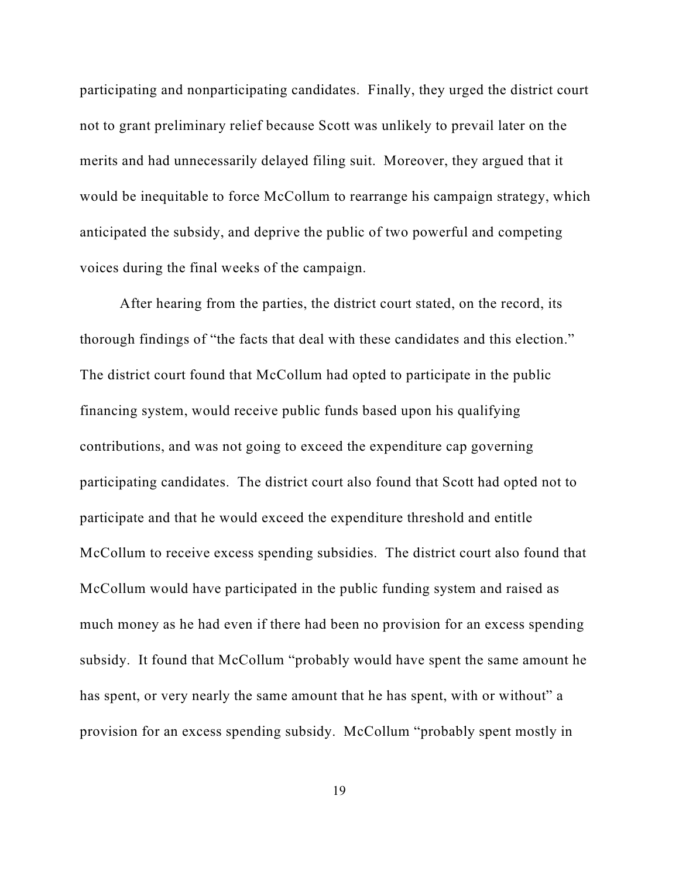participating and nonparticipating candidates. Finally, they urged the district court not to grant preliminary relief because Scott was unlikely to prevail later on the merits and had unnecessarily delayed filing suit. Moreover, they argued that it would be inequitable to force McCollum to rearrange his campaign strategy, which anticipated the subsidy, and deprive the public of two powerful and competing voices during the final weeks of the campaign.

After hearing from the parties, the district court stated, on the record, its thorough findings of "the facts that deal with these candidates and this election." The district court found that McCollum had opted to participate in the public financing system, would receive public funds based upon his qualifying contributions, and was not going to exceed the expenditure cap governing participating candidates. The district court also found that Scott had opted not to participate and that he would exceed the expenditure threshold and entitle McCollum to receive excess spending subsidies. The district court also found that McCollum would have participated in the public funding system and raised as much money as he had even if there had been no provision for an excess spending subsidy. It found that McCollum "probably would have spent the same amount he has spent, or very nearly the same amount that he has spent, with or without" a provision for an excess spending subsidy. McCollum "probably spent mostly in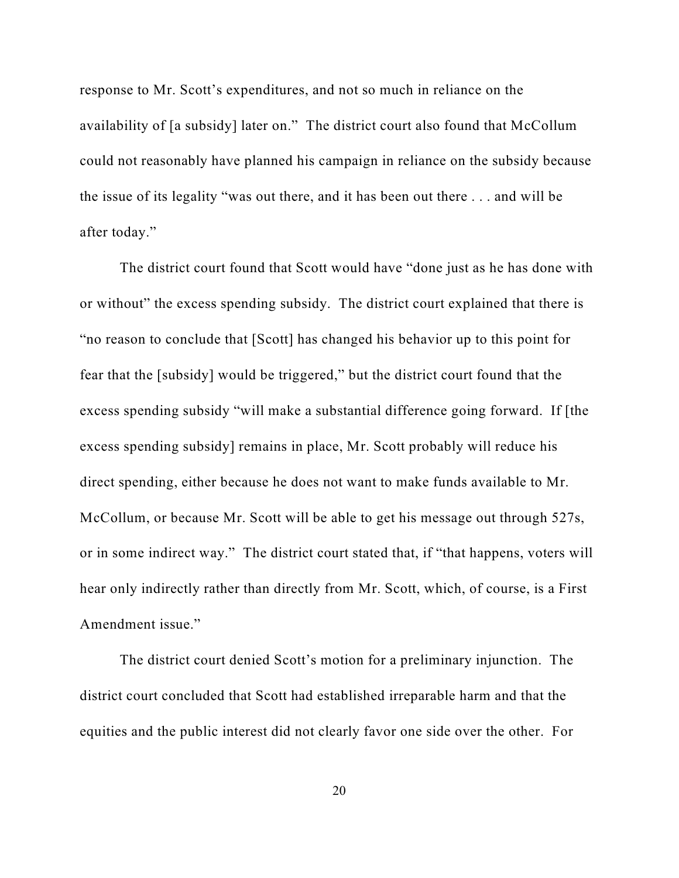response to Mr. Scott's expenditures, and not so much in reliance on the availability of [a subsidy] later on." The district court also found that McCollum could not reasonably have planned his campaign in reliance on the subsidy because the issue of its legality "was out there, and it has been out there . . . and will be after today."

The district court found that Scott would have "done just as he has done with or without" the excess spending subsidy. The district court explained that there is "no reason to conclude that [Scott] has changed his behavior up to this point for fear that the [subsidy] would be triggered," but the district court found that the excess spending subsidy "will make a substantial difference going forward. If [the excess spending subsidy] remains in place, Mr. Scott probably will reduce his direct spending, either because he does not want to make funds available to Mr. McCollum, or because Mr. Scott will be able to get his message out through 527s, or in some indirect way." The district court stated that, if "that happens, voters will hear only indirectly rather than directly from Mr. Scott, which, of course, is a First Amendment issue."

The district court denied Scott's motion for a preliminary injunction. The district court concluded that Scott had established irreparable harm and that the equities and the public interest did not clearly favor one side over the other. For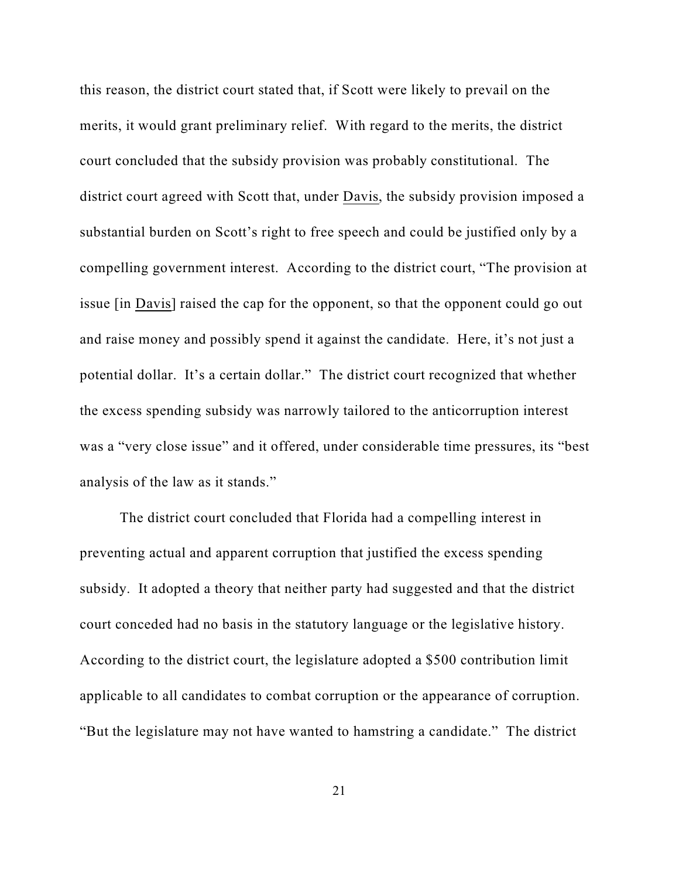this reason, the district court stated that, if Scott were likely to prevail on the merits, it would grant preliminary relief. With regard to the merits, the district court concluded that the subsidy provision was probably constitutional. The district court agreed with Scott that, under Davis, the subsidy provision imposed a substantial burden on Scott's right to free speech and could be justified only by a compelling government interest. According to the district court, "The provision at issue [in Davis] raised the cap for the opponent, so that the opponent could go out and raise money and possibly spend it against the candidate. Here, it's not just a potential dollar. It's a certain dollar." The district court recognized that whether the excess spending subsidy was narrowly tailored to the anticorruption interest was a "very close issue" and it offered, under considerable time pressures, its "best analysis of the law as it stands."

The district court concluded that Florida had a compelling interest in preventing actual and apparent corruption that justified the excess spending subsidy. It adopted a theory that neither party had suggested and that the district court conceded had no basis in the statutory language or the legislative history. According to the district court, the legislature adopted a \$500 contribution limit applicable to all candidates to combat corruption or the appearance of corruption. "But the legislature may not have wanted to hamstring a candidate." The district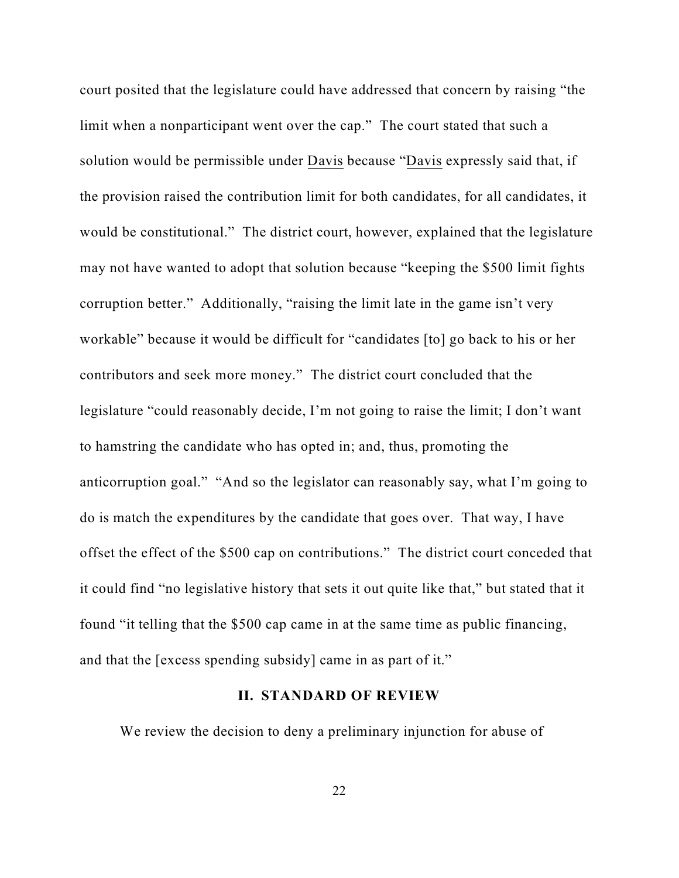court posited that the legislature could have addressed that concern by raising "the limit when a nonparticipant went over the cap." The court stated that such a solution would be permissible under Davis because "Davis expressly said that, if the provision raised the contribution limit for both candidates, for all candidates, it would be constitutional." The district court, however, explained that the legislature may not have wanted to adopt that solution because "keeping the \$500 limit fights corruption better." Additionally, "raising the limit late in the game isn't very workable" because it would be difficult for "candidates [to] go back to his or her contributors and seek more money." The district court concluded that the legislature "could reasonably decide, I'm not going to raise the limit; I don't want to hamstring the candidate who has opted in; and, thus, promoting the anticorruption goal." "And so the legislator can reasonably say, what I'm going to do is match the expenditures by the candidate that goes over. That way, I have offset the effect of the \$500 cap on contributions." The district court conceded that it could find "no legislative history that sets it out quite like that," but stated that it found "it telling that the \$500 cap came in at the same time as public financing, and that the [excess spending subsidy] came in as part of it."

## **II. STANDARD OF REVIEW**

We review the decision to deny a preliminary injunction for abuse of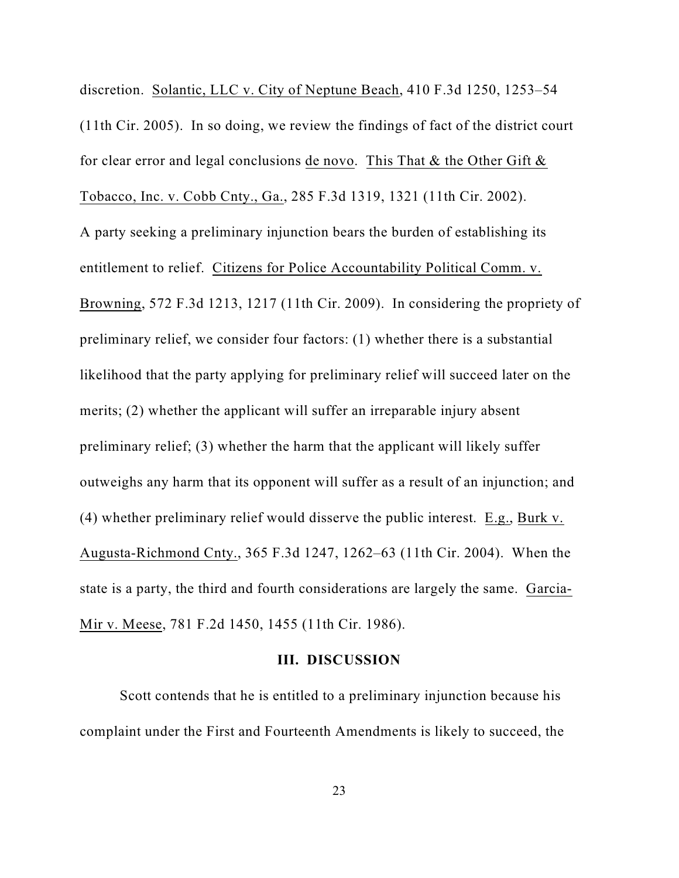discretion. Solantic, LLC v. City of Neptune Beach, 410 F.3d 1250, 1253–54 (11th Cir. 2005). In so doing, we review the findings of fact of the district court for clear error and legal conclusions de novo. This That  $\&$  the Other Gift  $\&$ Tobacco, Inc. v. Cobb Cnty., Ga., 285 F.3d 1319, 1321 (11th Cir. 2002). A party seeking a preliminary injunction bears the burden of establishing its entitlement to relief. Citizens for Police Accountability Political Comm. v. Browning, 572 F.3d 1213, 1217 (11th Cir. 2009). In considering the propriety of preliminary relief, we consider four factors: (1) whether there is a substantial likelihood that the party applying for preliminary relief will succeed later on the merits; (2) whether the applicant will suffer an irreparable injury absent preliminary relief; (3) whether the harm that the applicant will likely suffer outweighs any harm that its opponent will suffer as a result of an injunction; and (4) whether preliminary relief would disserve the public interest. E.g., Burk v. Augusta-Richmond Cnty., 365 F.3d 1247, 1262–63 (11th Cir. 2004). When the state is a party, the third and fourth considerations are largely the same. Garcia-Mir v. Meese, 781 F.2d 1450, 1455 (11th Cir. 1986).

#### **III. DISCUSSION**

Scott contends that he is entitled to a preliminary injunction because his complaint under the First and Fourteenth Amendments is likely to succeed, the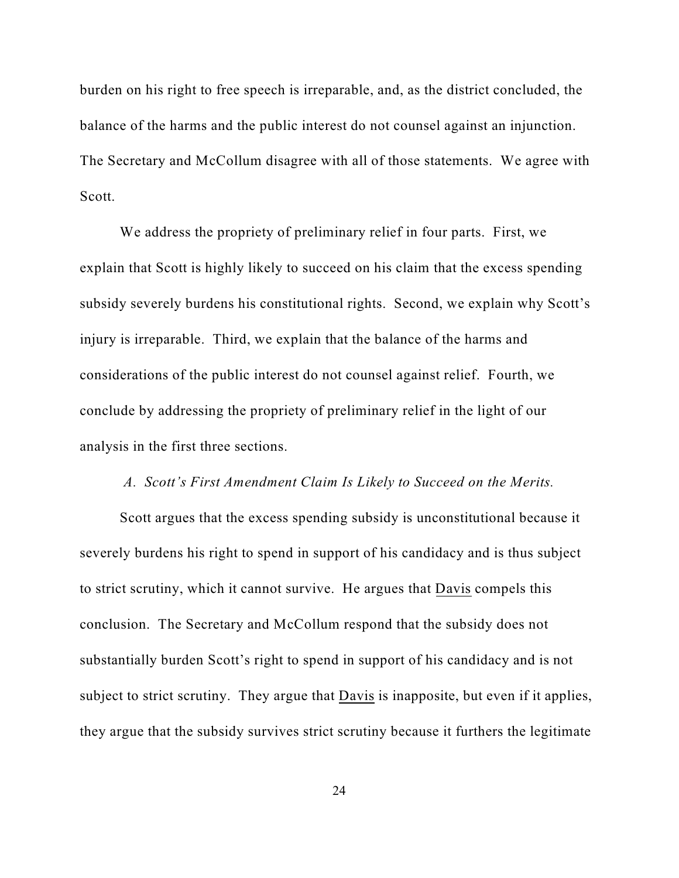burden on his right to free speech is irreparable, and, as the district concluded, the balance of the harms and the public interest do not counsel against an injunction. The Secretary and McCollum disagree with all of those statements. We agree with Scott.

We address the propriety of preliminary relief in four parts. First, we explain that Scott is highly likely to succeed on his claim that the excess spending subsidy severely burdens his constitutional rights. Second, we explain why Scott's injury is irreparable. Third, we explain that the balance of the harms and considerations of the public interest do not counsel against relief. Fourth, we conclude by addressing the propriety of preliminary relief in the light of our analysis in the first three sections.

## *A. Scott's First Amendment Claim Is Likely to Succeed on the Merits.*

Scott argues that the excess spending subsidy is unconstitutional because it severely burdens his right to spend in support of his candidacy and is thus subject to strict scrutiny, which it cannot survive. He argues that Davis compels this conclusion. The Secretary and McCollum respond that the subsidy does not substantially burden Scott's right to spend in support of his candidacy and is not subject to strict scrutiny. They argue that Davis is inapposite, but even if it applies, they argue that the subsidy survives strict scrutiny because it furthers the legitimate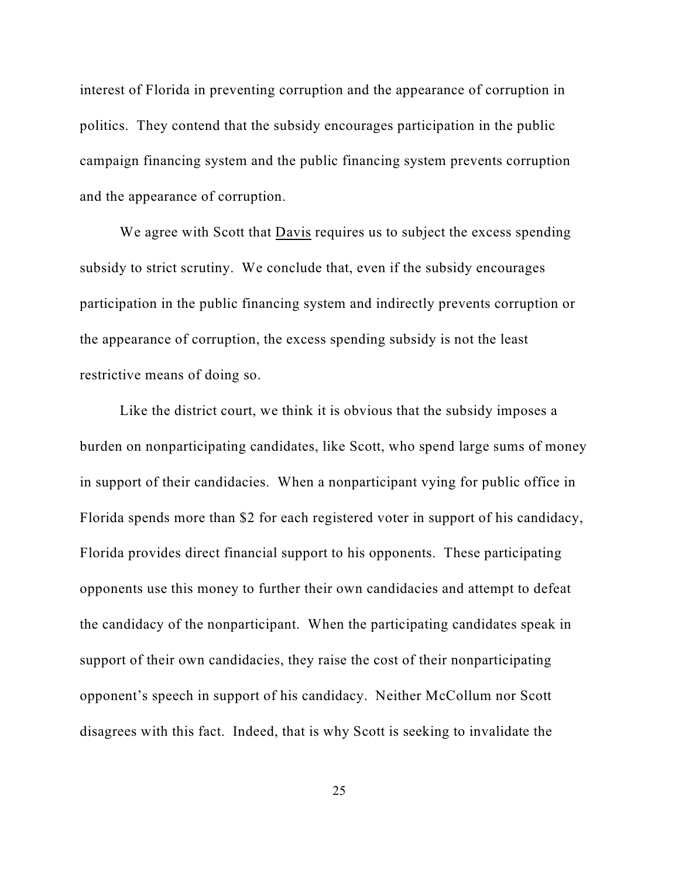interest of Florida in preventing corruption and the appearance of corruption in politics. They contend that the subsidy encourages participation in the public campaign financing system and the public financing system prevents corruption and the appearance of corruption.

We agree with Scott that Davis requires us to subject the excess spending subsidy to strict scrutiny. We conclude that, even if the subsidy encourages participation in the public financing system and indirectly prevents corruption or the appearance of corruption, the excess spending subsidy is not the least restrictive means of doing so.

Like the district court, we think it is obvious that the subsidy imposes a burden on nonparticipating candidates, like Scott, who spend large sums of money in support of their candidacies. When a nonparticipant vying for public office in Florida spends more than \$2 for each registered voter in support of his candidacy, Florida provides direct financial support to his opponents. These participating opponents use this money to further their own candidacies and attempt to defeat the candidacy of the nonparticipant. When the participating candidates speak in support of their own candidacies, they raise the cost of their nonparticipating opponent's speech in support of his candidacy. Neither McCollum nor Scott disagrees with this fact. Indeed, that is why Scott is seeking to invalidate the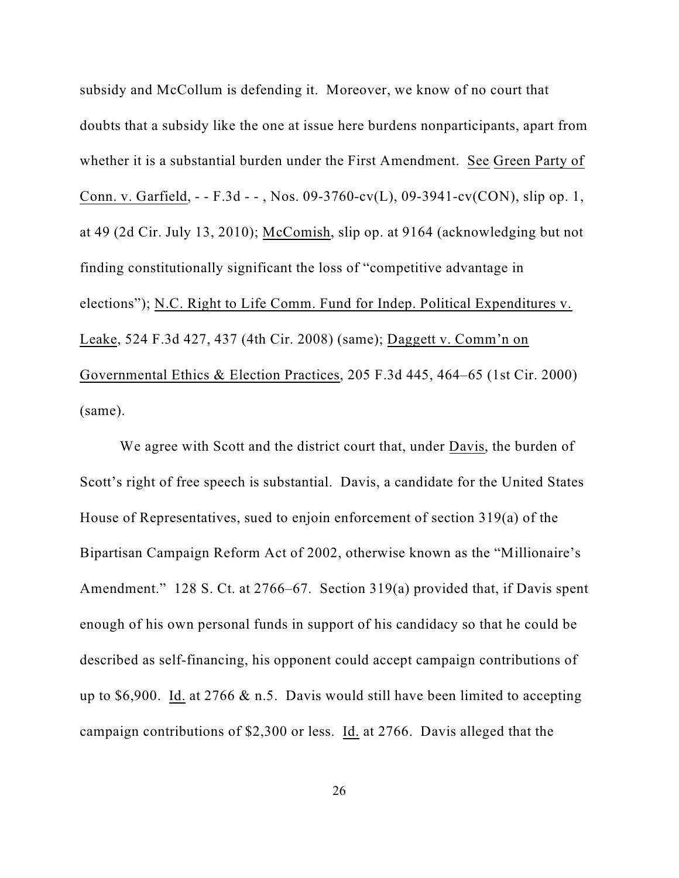subsidy and McCollum is defending it. Moreover, we know of no court that doubts that a subsidy like the one at issue here burdens nonparticipants, apart from whether it is a substantial burden under the First Amendment. See Green Party of Conn. v. Garfield, - - F.3d - - , Nos. 09-3760-cv(L), 09-3941-cv(CON), slip op. 1, at 49 (2d Cir. July 13, 2010); McComish, slip op. at 9164 (acknowledging but not finding constitutionally significant the loss of "competitive advantage in elections"); N.C. Right to Life Comm. Fund for Indep. Political Expenditures v. Leake, 524 F.3d 427, 437 (4th Cir. 2008) (same); Daggett v. Comm'n on Governmental Ethics & Election Practices, 205 F.3d 445, 464–65 (1st Cir. 2000) (same).

We agree with Scott and the district court that, under Davis, the burden of Scott's right of free speech is substantial. Davis, a candidate for the United States House of Representatives, sued to enjoin enforcement of section 319(a) of the Bipartisan Campaign Reform Act of 2002, otherwise known as the "Millionaire's Amendment." 128 S. Ct. at 2766–67. Section 319(a) provided that, if Davis spent enough of his own personal funds in support of his candidacy so that he could be described as self-financing, his opponent could accept campaign contributions of up to \$6,900. Id. at  $2766 \& n.5$ . Davis would still have been limited to accepting campaign contributions of \$2,300 or less. Id. at 2766. Davis alleged that the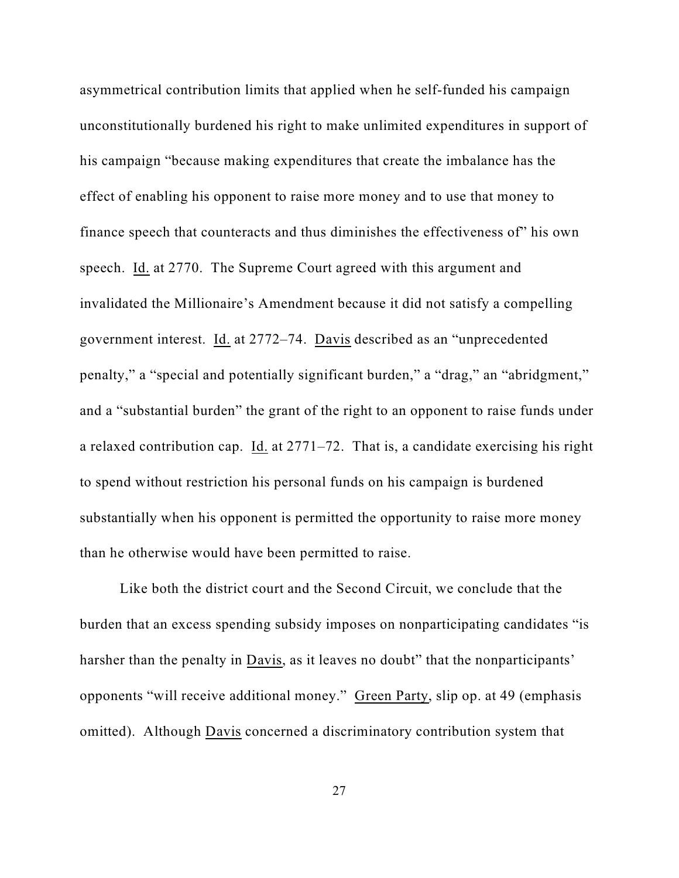asymmetrical contribution limits that applied when he self-funded his campaign unconstitutionally burdened his right to make unlimited expenditures in support of his campaign "because making expenditures that create the imbalance has the effect of enabling his opponent to raise more money and to use that money to finance speech that counteracts and thus diminishes the effectiveness of" his own speech. Id. at 2770. The Supreme Court agreed with this argument and invalidated the Millionaire's Amendment because it did not satisfy a compelling government interest. Id. at 2772–74. Davis described as an "unprecedented penalty," a "special and potentially significant burden," a "drag," an "abridgment," and a "substantial burden" the grant of the right to an opponent to raise funds under a relaxed contribution cap. Id. at 2771–72. That is, a candidate exercising his right to spend without restriction his personal funds on his campaign is burdened substantially when his opponent is permitted the opportunity to raise more money than he otherwise would have been permitted to raise.

Like both the district court and the Second Circuit, we conclude that the burden that an excess spending subsidy imposes on nonparticipating candidates "is harsher than the penalty in Davis, as it leaves no doubt" that the nonparticipants' opponents "will receive additional money." Green Party, slip op. at 49 (emphasis omitted). Although Davis concerned a discriminatory contribution system that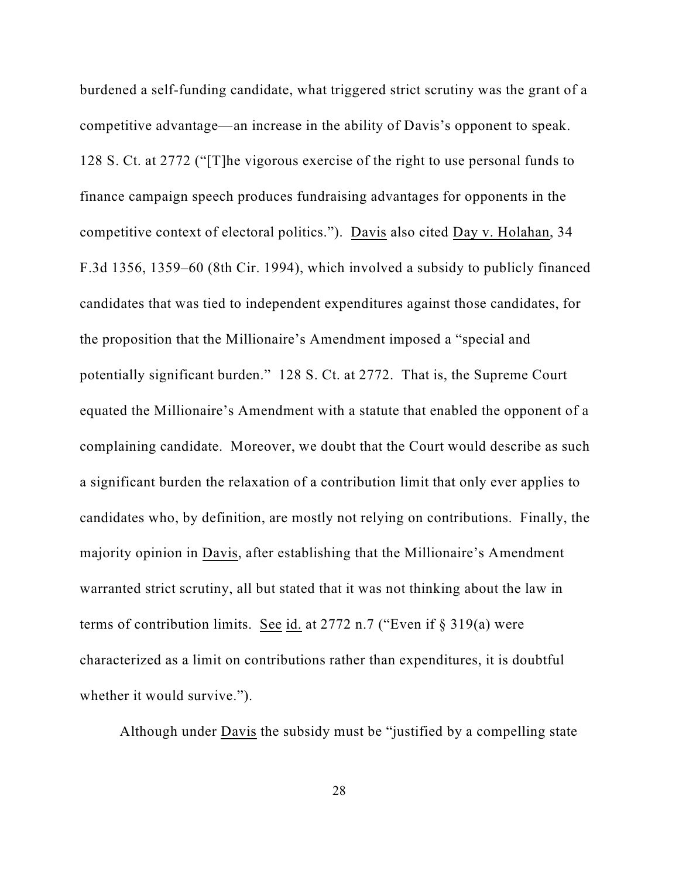burdened a self-funding candidate, what triggered strict scrutiny was the grant of a competitive advantage—an increase in the ability of Davis's opponent to speak. 128 S. Ct. at 2772 ("[T]he vigorous exercise of the right to use personal funds to finance campaign speech produces fundraising advantages for opponents in the competitive context of electoral politics."). Davis also cited Day v. Holahan, 34 F.3d 1356, 1359–60 (8th Cir. 1994), which involved a subsidy to publicly financed candidates that was tied to independent expenditures against those candidates, for the proposition that the Millionaire's Amendment imposed a "special and potentially significant burden." 128 S. Ct. at 2772. That is, the Supreme Court equated the Millionaire's Amendment with a statute that enabled the opponent of a complaining candidate. Moreover, we doubt that the Court would describe as such a significant burden the relaxation of a contribution limit that only ever applies to candidates who, by definition, are mostly not relying on contributions. Finally, the majority opinion in Davis, after establishing that the Millionaire's Amendment warranted strict scrutiny, all but stated that it was not thinking about the law in terms of contribution limits. See id. at 2772 n.7 ("Even if § 319(a) were characterized as a limit on contributions rather than expenditures, it is doubtful whether it would survive.").

Although under Davis the subsidy must be "justified by a compelling state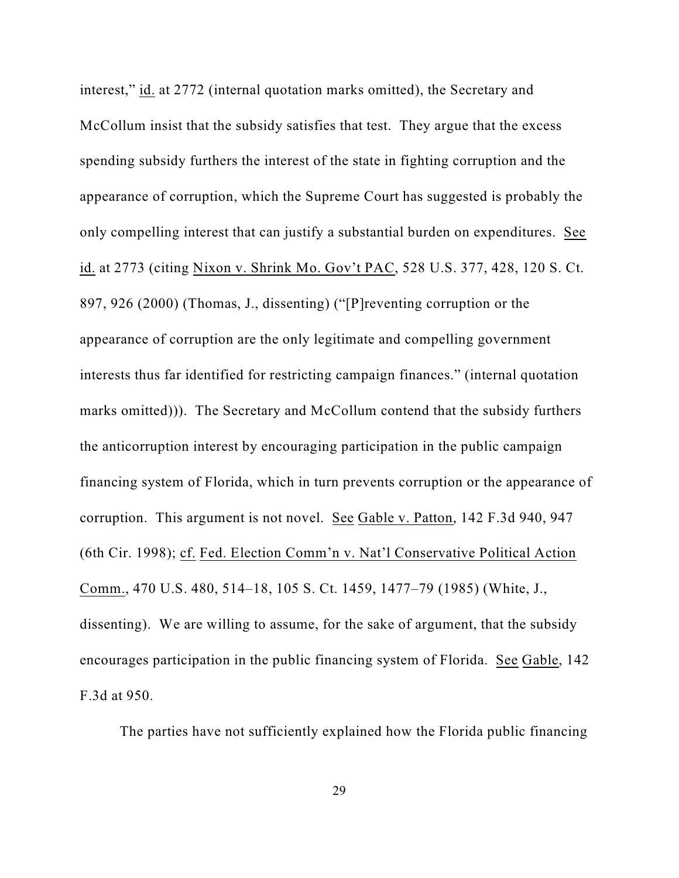interest," id. at 2772 (internal quotation marks omitted), the Secretary and McCollum insist that the subsidy satisfies that test. They argue that the excess spending subsidy furthers the interest of the state in fighting corruption and the appearance of corruption, which the Supreme Court has suggested is probably the only compelling interest that can justify a substantial burden on expenditures. See id. at 2773 (citing Nixon v. Shrink Mo. Gov't PAC, 528 U.S. 377, 428, 120 S. Ct. 897, 926 (2000) (Thomas, J., dissenting) ("[P]reventing corruption or the appearance of corruption are the only legitimate and compelling government interests thus far identified for restricting campaign finances." (internal quotation marks omitted))). The Secretary and McCollum contend that the subsidy furthers the anticorruption interest by encouraging participation in the public campaign financing system of Florida, which in turn prevents corruption or the appearance of corruption. This argument is not novel. See Gable v. Patton, 142 F.3d 940, 947 (6th Cir. 1998); cf. Fed. Election Comm'n v. Nat'l Conservative Political Action Comm., 470 U.S. 480, 514–18, 105 S. Ct. 1459, 1477–79 (1985) (White, J., dissenting). We are willing to assume, for the sake of argument, that the subsidy encourages participation in the public financing system of Florida. See Gable, 142 F.3d at 950.

The parties have not sufficiently explained how the Florida public financing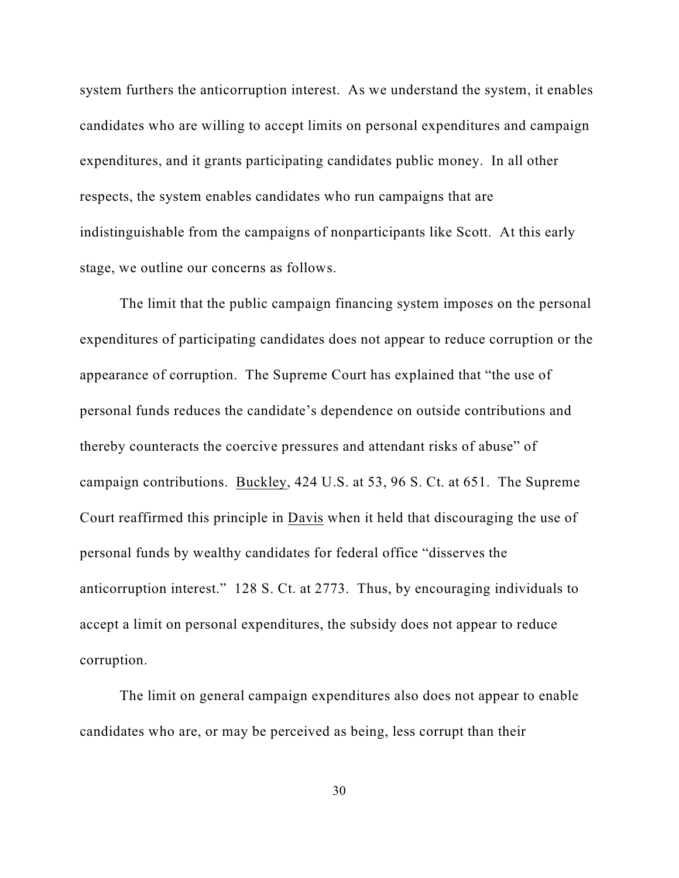system furthers the anticorruption interest. As we understand the system, it enables candidates who are willing to accept limits on personal expenditures and campaign expenditures, and it grants participating candidates public money. In all other respects, the system enables candidates who run campaigns that are indistinguishable from the campaigns of nonparticipants like Scott. At this early stage, we outline our concerns as follows.

The limit that the public campaign financing system imposes on the personal expenditures of participating candidates does not appear to reduce corruption or the appearance of corruption. The Supreme Court has explained that "the use of personal funds reduces the candidate's dependence on outside contributions and thereby counteracts the coercive pressures and attendant risks of abuse" of campaign contributions. Buckley, 424 U.S. at 53, 96 S. Ct. at 651. The Supreme Court reaffirmed this principle in Davis when it held that discouraging the use of personal funds by wealthy candidates for federal office "disserves the anticorruption interest." 128 S. Ct. at 2773. Thus, by encouraging individuals to accept a limit on personal expenditures, the subsidy does not appear to reduce corruption.

The limit on general campaign expenditures also does not appear to enable candidates who are, or may be perceived as being, less corrupt than their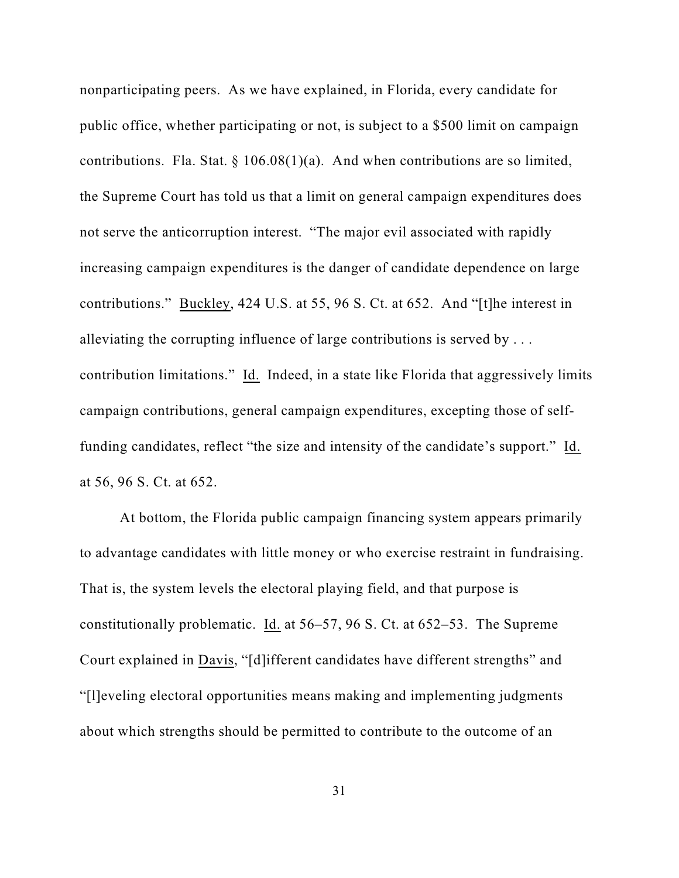nonparticipating peers. As we have explained, in Florida, every candidate for public office, whether participating or not, is subject to a \$500 limit on campaign contributions. Fla. Stat.  $\S 106.08(1)(a)$ . And when contributions are so limited, the Supreme Court has told us that a limit on general campaign expenditures does not serve the anticorruption interest. "The major evil associated with rapidly increasing campaign expenditures is the danger of candidate dependence on large contributions." Buckley, 424 U.S. at 55, 96 S. Ct. at 652. And "[t]he interest in alleviating the corrupting influence of large contributions is served by . . . contribution limitations." Id. Indeed, in a state like Florida that aggressively limits campaign contributions, general campaign expenditures, excepting those of selffunding candidates, reflect "the size and intensity of the candidate's support." Id. at 56, 96 S. Ct. at 652.

At bottom, the Florida public campaign financing system appears primarily to advantage candidates with little money or who exercise restraint in fundraising. That is, the system levels the electoral playing field, and that purpose is constitutionally problematic. Id. at 56–57, 96 S. Ct. at 652–53. The Supreme Court explained in Davis, "[d]ifferent candidates have different strengths" and "[l]eveling electoral opportunities means making and implementing judgments about which strengths should be permitted to contribute to the outcome of an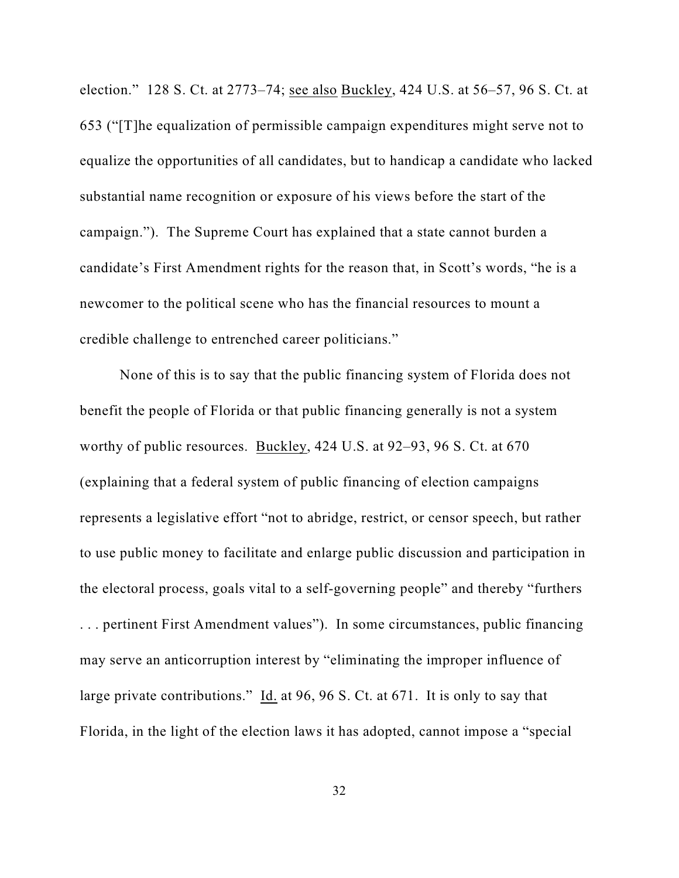election." 128 S. Ct. at 2773–74; see also Buckley, 424 U.S. at 56–57, 96 S. Ct. at 653 ("[T]he equalization of permissible campaign expenditures might serve not to equalize the opportunities of all candidates, but to handicap a candidate who lacked substantial name recognition or exposure of his views before the start of the campaign."). The Supreme Court has explained that a state cannot burden a candidate's First Amendment rights for the reason that, in Scott's words, "he is a newcomer to the political scene who has the financial resources to mount a credible challenge to entrenched career politicians."

None of this is to say that the public financing system of Florida does not benefit the people of Florida or that public financing generally is not a system worthy of public resources. Buckley, 424 U.S. at 92–93, 96 S. Ct. at 670 (explaining that a federal system of public financing of election campaigns represents a legislative effort "not to abridge, restrict, or censor speech, but rather to use public money to facilitate and enlarge public discussion and participation in the electoral process, goals vital to a self-governing people" and thereby "furthers . . . pertinent First Amendment values"). In some circumstances, public financing may serve an anticorruption interest by "eliminating the improper influence of large private contributions." Id. at 96, 96 S. Ct. at 671. It is only to say that Florida, in the light of the election laws it has adopted, cannot impose a "special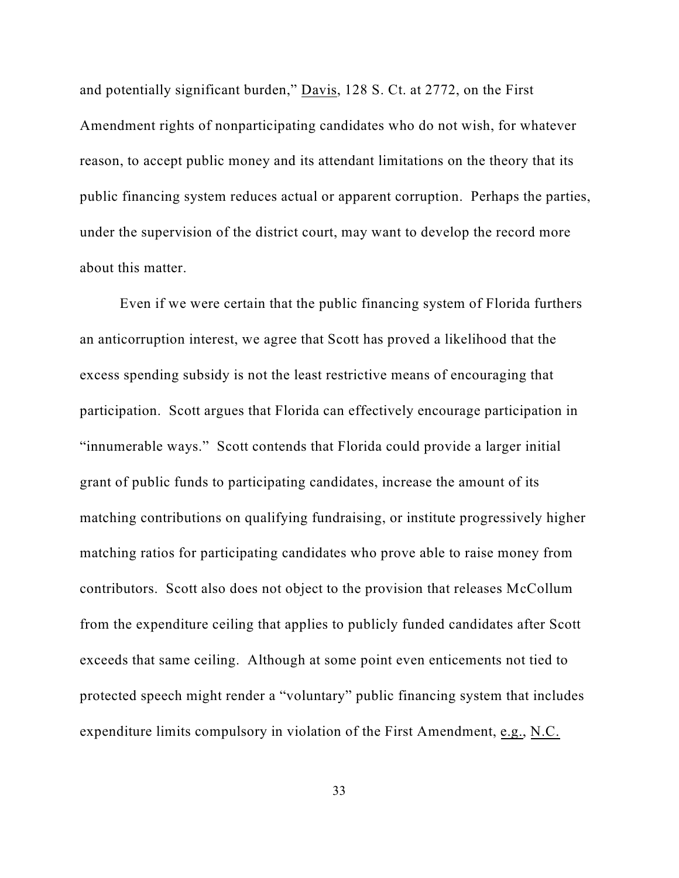and potentially significant burden," Davis, 128 S. Ct. at 2772, on the First Amendment rights of nonparticipating candidates who do not wish, for whatever reason, to accept public money and its attendant limitations on the theory that its public financing system reduces actual or apparent corruption. Perhaps the parties, under the supervision of the district court, may want to develop the record more about this matter.

Even if we were certain that the public financing system of Florida furthers an anticorruption interest, we agree that Scott has proved a likelihood that the excess spending subsidy is not the least restrictive means of encouraging that participation. Scott argues that Florida can effectively encourage participation in "innumerable ways." Scott contends that Florida could provide a larger initial grant of public funds to participating candidates, increase the amount of its matching contributions on qualifying fundraising, or institute progressively higher matching ratios for participating candidates who prove able to raise money from contributors. Scott also does not object to the provision that releases McCollum from the expenditure ceiling that applies to publicly funded candidates after Scott exceeds that same ceiling. Although at some point even enticements not tied to protected speech might render a "voluntary" public financing system that includes expenditure limits compulsory in violation of the First Amendment, e.g., N.C.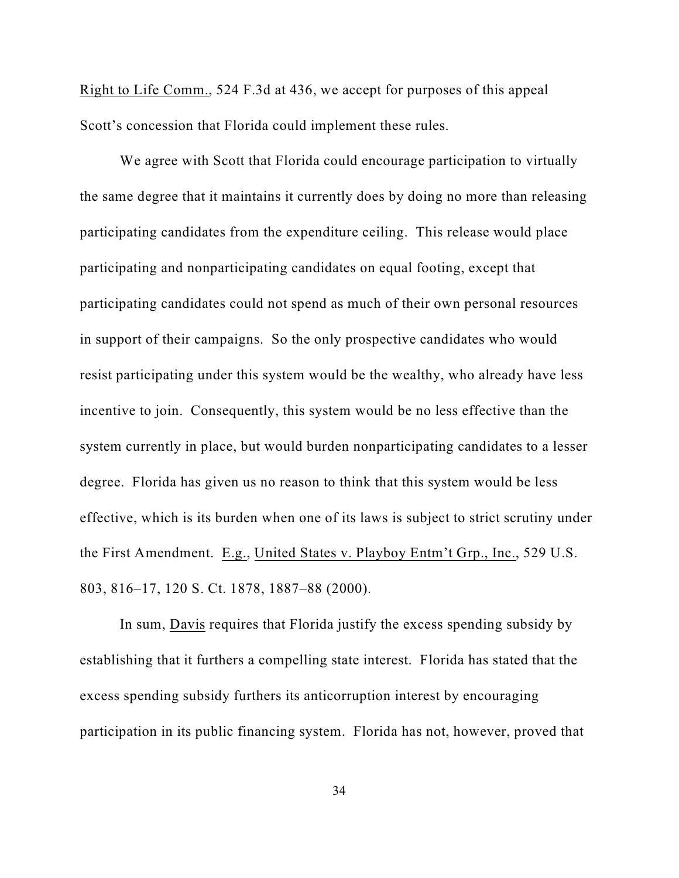Right to Life Comm., 524 F.3d at 436, we accept for purposes of this appeal Scott's concession that Florida could implement these rules.

We agree with Scott that Florida could encourage participation to virtually the same degree that it maintains it currently does by doing no more than releasing participating candidates from the expenditure ceiling. This release would place participating and nonparticipating candidates on equal footing, except that participating candidates could not spend as much of their own personal resources in support of their campaigns. So the only prospective candidates who would resist participating under this system would be the wealthy, who already have less incentive to join. Consequently, this system would be no less effective than the system currently in place, but would burden nonparticipating candidates to a lesser degree. Florida has given us no reason to think that this system would be less effective, which is its burden when one of its laws is subject to strict scrutiny under the First Amendment. E.g., United States v. Playboy Entm't Grp., Inc., 529 U.S. 803, 816–17, 120 S. Ct. 1878, 1887–88 (2000).

In sum, Davis requires that Florida justify the excess spending subsidy by establishing that it furthers a compelling state interest. Florida has stated that the excess spending subsidy furthers its anticorruption interest by encouraging participation in its public financing system. Florida has not, however, proved that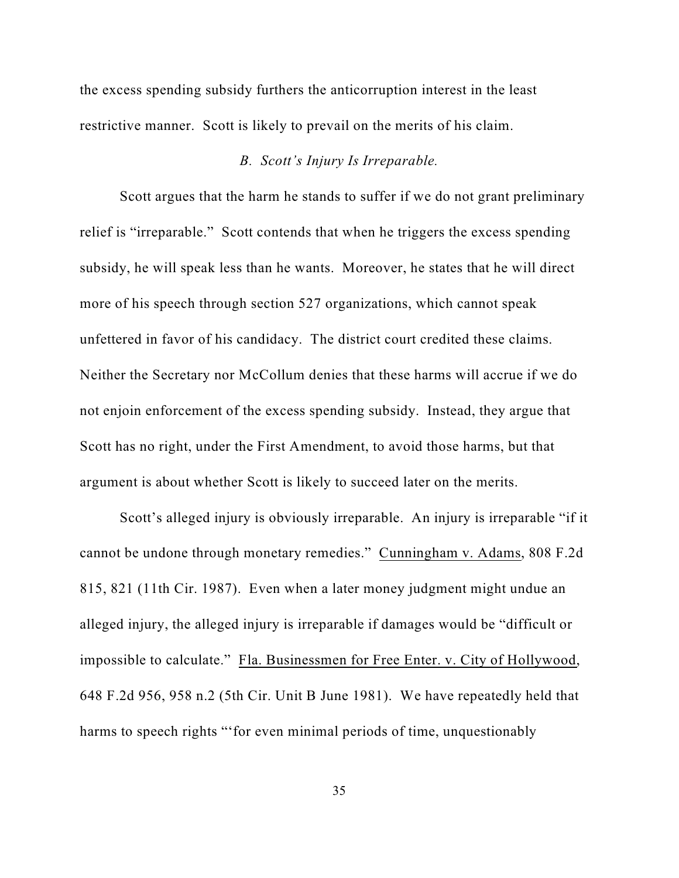the excess spending subsidy furthers the anticorruption interest in the least restrictive manner. Scott is likely to prevail on the merits of his claim.

## *B. Scott's Injury Is Irreparable.*

Scott argues that the harm he stands to suffer if we do not grant preliminary relief is "irreparable." Scott contends that when he triggers the excess spending subsidy, he will speak less than he wants. Moreover, he states that he will direct more of his speech through section 527 organizations, which cannot speak unfettered in favor of his candidacy. The district court credited these claims. Neither the Secretary nor McCollum denies that these harms will accrue if we do not enjoin enforcement of the excess spending subsidy. Instead, they argue that Scott has no right, under the First Amendment, to avoid those harms, but that argument is about whether Scott is likely to succeed later on the merits.

Scott's alleged injury is obviously irreparable. An injury is irreparable "if it cannot be undone through monetary remedies." Cunningham v. Adams, 808 F.2d 815, 821 (11th Cir. 1987). Even when a later money judgment might undue an alleged injury, the alleged injury is irreparable if damages would be "difficult or impossible to calculate." Fla. Businessmen for Free Enter. v. City of Hollywood, 648 F.2d 956, 958 n.2 (5th Cir. Unit B June 1981). We have repeatedly held that harms to speech rights "'for even minimal periods of time, unquestionably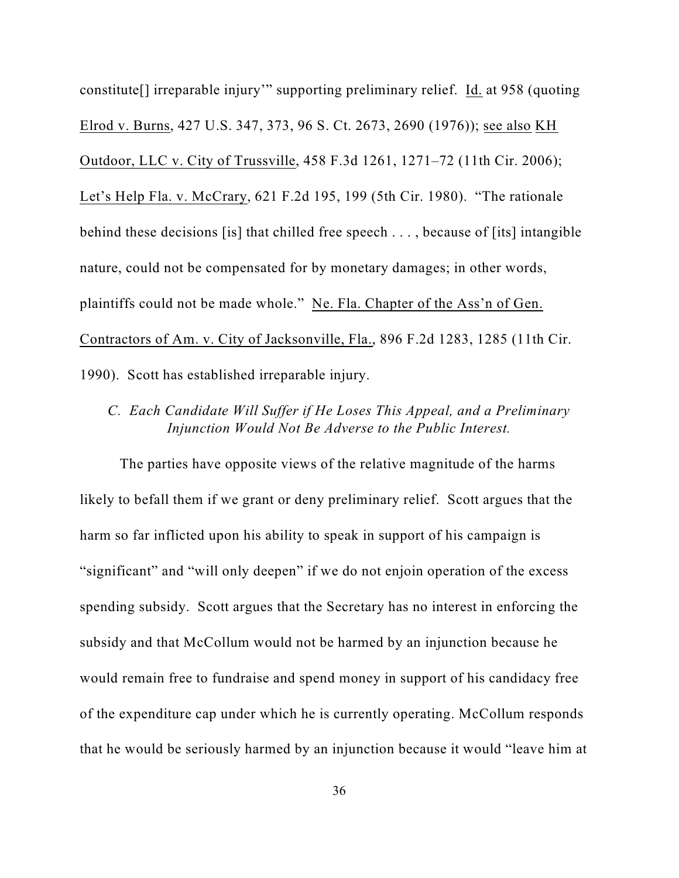constitute[] irreparable injury'" supporting preliminary relief. Id. at 958 (quoting Elrod v. Burns, 427 U.S. 347, 373, 96 S. Ct. 2673, 2690 (1976)); see also KH Outdoor, LLC v. City of Trussville, 458 F.3d 1261, 1271–72 (11th Cir. 2006); Let's Help Fla. v. McCrary, 621 F.2d 195, 199 (5th Cir. 1980). "The rationale behind these decisions [is] that chilled free speech . . . , because of [its] intangible nature, could not be compensated for by monetary damages; in other words, plaintiffs could not be made whole." Ne. Fla. Chapter of the Ass'n of Gen. Contractors of Am. v. City of Jacksonville, Fla., 896 F.2d 1283, 1285 (11th Cir. 1990). Scott has established irreparable injury.

*C. Each Candidate Will Suffer if He Loses This Appeal, and a Preliminary Injunction Would Not Be Adverse to the Public Interest.*

The parties have opposite views of the relative magnitude of the harms likely to befall them if we grant or deny preliminary relief. Scott argues that the harm so far inflicted upon his ability to speak in support of his campaign is "significant" and "will only deepen" if we do not enjoin operation of the excess spending subsidy. Scott argues that the Secretary has no interest in enforcing the subsidy and that McCollum would not be harmed by an injunction because he would remain free to fundraise and spend money in support of his candidacy free of the expenditure cap under which he is currently operating. McCollum responds that he would be seriously harmed by an injunction because it would "leave him at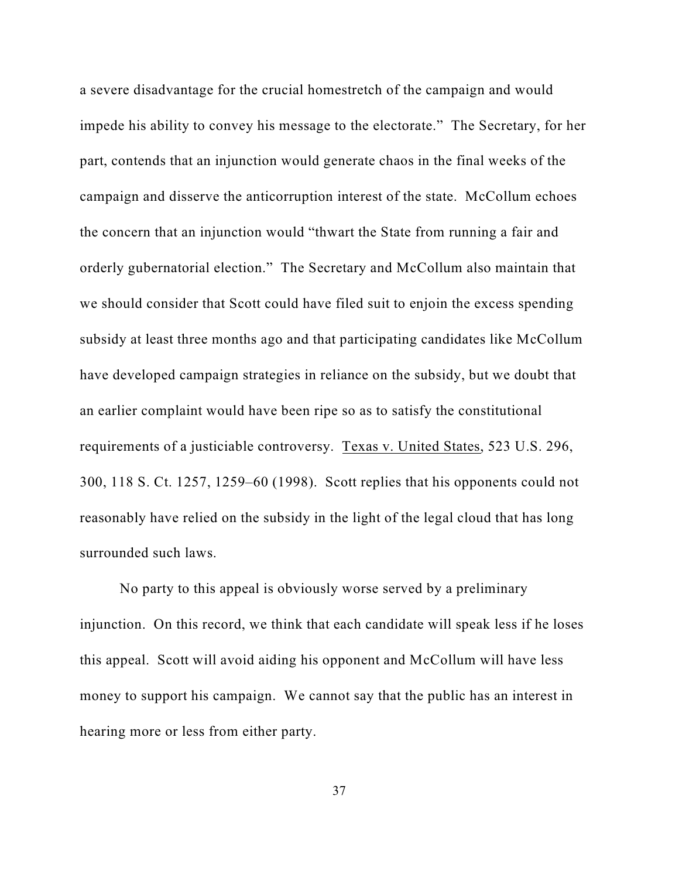a severe disadvantage for the crucial homestretch of the campaign and would impede his ability to convey his message to the electorate." The Secretary, for her part, contends that an injunction would generate chaos in the final weeks of the campaign and disserve the anticorruption interest of the state. McCollum echoes the concern that an injunction would "thwart the State from running a fair and orderly gubernatorial election." The Secretary and McCollum also maintain that we should consider that Scott could have filed suit to enjoin the excess spending subsidy at least three months ago and that participating candidates like McCollum have developed campaign strategies in reliance on the subsidy, but we doubt that an earlier complaint would have been ripe so as to satisfy the constitutional requirements of a justiciable controversy. Texas v. United States, 523 U.S. 296, 300, 118 S. Ct. 1257, 1259–60 (1998). Scott replies that his opponents could not reasonably have relied on the subsidy in the light of the legal cloud that has long surrounded such laws.

No party to this appeal is obviously worse served by a preliminary injunction. On this record, we think that each candidate will speak less if he loses this appeal. Scott will avoid aiding his opponent and McCollum will have less money to support his campaign. We cannot say that the public has an interest in hearing more or less from either party.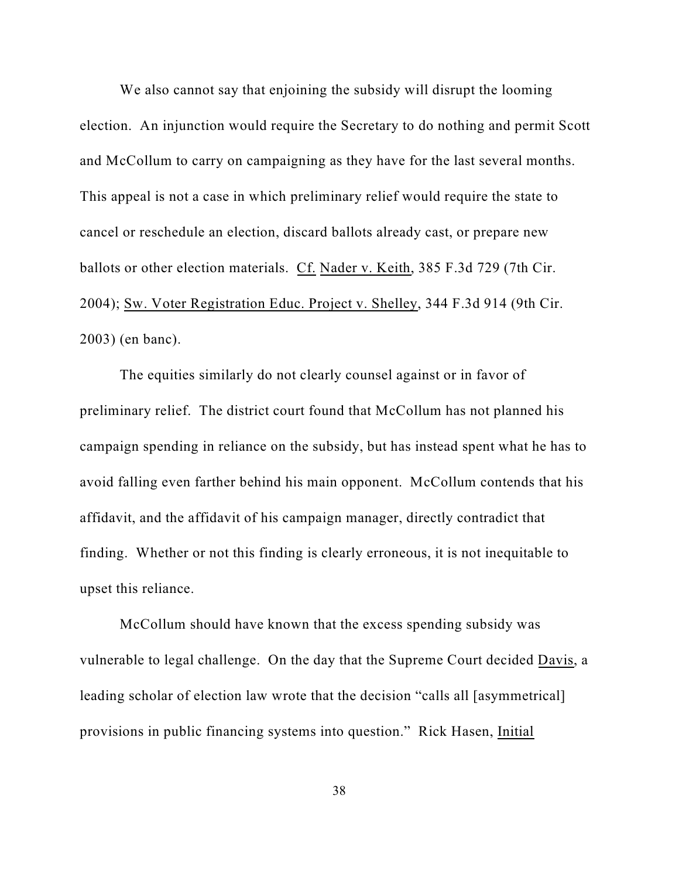We also cannot say that enjoining the subsidy will disrupt the looming election. An injunction would require the Secretary to do nothing and permit Scott and McCollum to carry on campaigning as they have for the last several months. This appeal is not a case in which preliminary relief would require the state to cancel or reschedule an election, discard ballots already cast, or prepare new ballots or other election materials. Cf. Nader v. Keith, 385 F.3d 729 (7th Cir. 2004); Sw. Voter Registration Educ. Project v. Shelley, 344 F.3d 914 (9th Cir. 2003) (en banc).

The equities similarly do not clearly counsel against or in favor of preliminary relief. The district court found that McCollum has not planned his campaign spending in reliance on the subsidy, but has instead spent what he has to avoid falling even farther behind his main opponent. McCollum contends that his affidavit, and the affidavit of his campaign manager, directly contradict that finding. Whether or not this finding is clearly erroneous, it is not inequitable to upset this reliance.

McCollum should have known that the excess spending subsidy was vulnerable to legal challenge. On the day that the Supreme Court decided Davis, a leading scholar of election law wrote that the decision "calls all [asymmetrical] provisions in public financing systems into question." Rick Hasen, Initial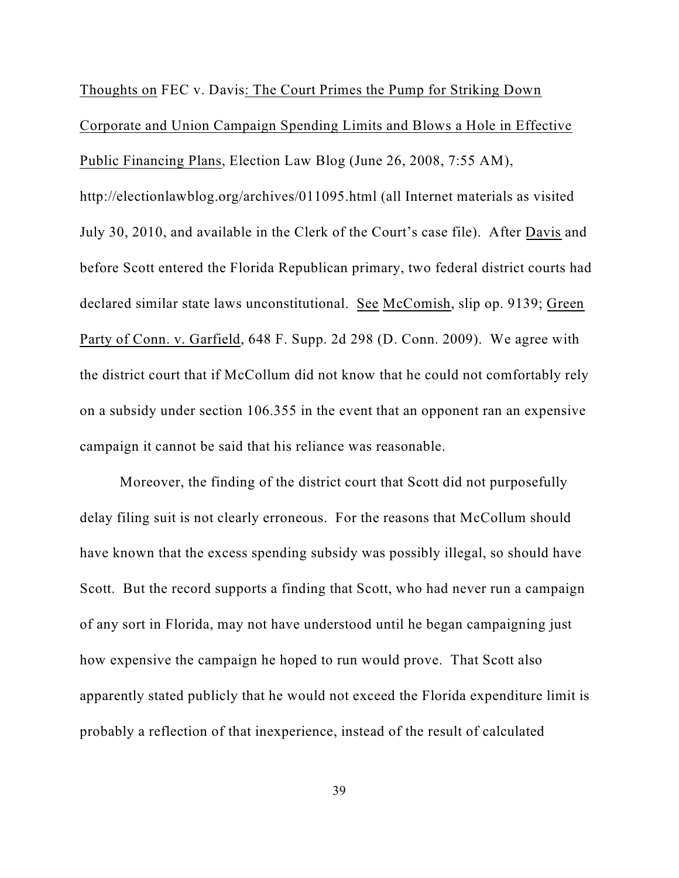Thoughts on FEC v. Davis: The Court Primes the Pump for Striking Down Corporate and Union Campaign Spending Limits and Blows a Hole in Effective Public Financing Plans, Election Law Blog (June 26, 2008, 7:55 AM), http://electionlawblog.org/archives/011095.html (all Internet materials as visited July 30, 2010, and available in the Clerk of the Court's case file). After Davis and before Scott entered the Florida Republican primary, two federal district courts had declared similar state laws unconstitutional. See McComish, slip op. 9139; Green Party of Conn. v. Garfield, 648 F. Supp. 2d 298 (D. Conn. 2009). We agree with the district court that if McCollum did not know that he could not comfortably rely on a subsidy under section 106.355 in the event that an opponent ran an expensive campaign it cannot be said that his reliance was reasonable.

Moreover, the finding of the district court that Scott did not purposefully delay filing suit is not clearly erroneous. For the reasons that McCollum should have known that the excess spending subsidy was possibly illegal, so should have Scott. But the record supports a finding that Scott, who had never run a campaign of any sort in Florida, may not have understood until he began campaigning just how expensive the campaign he hoped to run would prove. That Scott also apparently stated publicly that he would not exceed the Florida expenditure limit is probably a reflection of that inexperience, instead of the result of calculated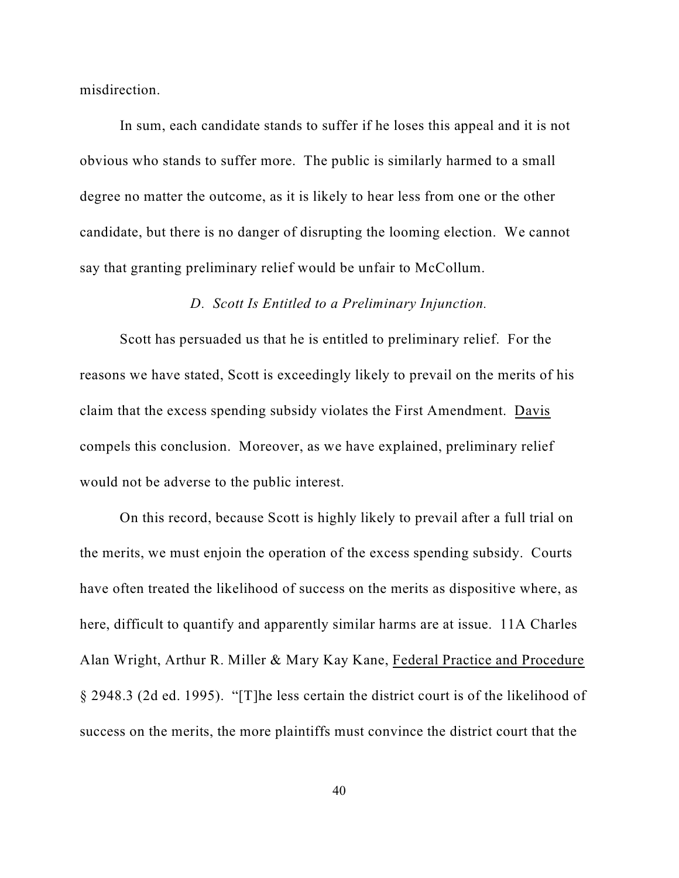misdirection.

In sum, each candidate stands to suffer if he loses this appeal and it is not obvious who stands to suffer more. The public is similarly harmed to a small degree no matter the outcome, as it is likely to hear less from one or the other candidate, but there is no danger of disrupting the looming election. We cannot say that granting preliminary relief would be unfair to McCollum.

## *D. Scott Is Entitled to a Preliminary Injunction.*

Scott has persuaded us that he is entitled to preliminary relief. For the reasons we have stated, Scott is exceedingly likely to prevail on the merits of his claim that the excess spending subsidy violates the First Amendment. Davis compels this conclusion. Moreover, as we have explained, preliminary relief would not be adverse to the public interest.

On this record, because Scott is highly likely to prevail after a full trial on the merits, we must enjoin the operation of the excess spending subsidy. Courts have often treated the likelihood of success on the merits as dispositive where, as here, difficult to quantify and apparently similar harms are at issue. 11A Charles Alan Wright, Arthur R. Miller & Mary Kay Kane, Federal Practice and Procedure § 2948.3 (2d ed. 1995). "[T]he less certain the district court is of the likelihood of success on the merits, the more plaintiffs must convince the district court that the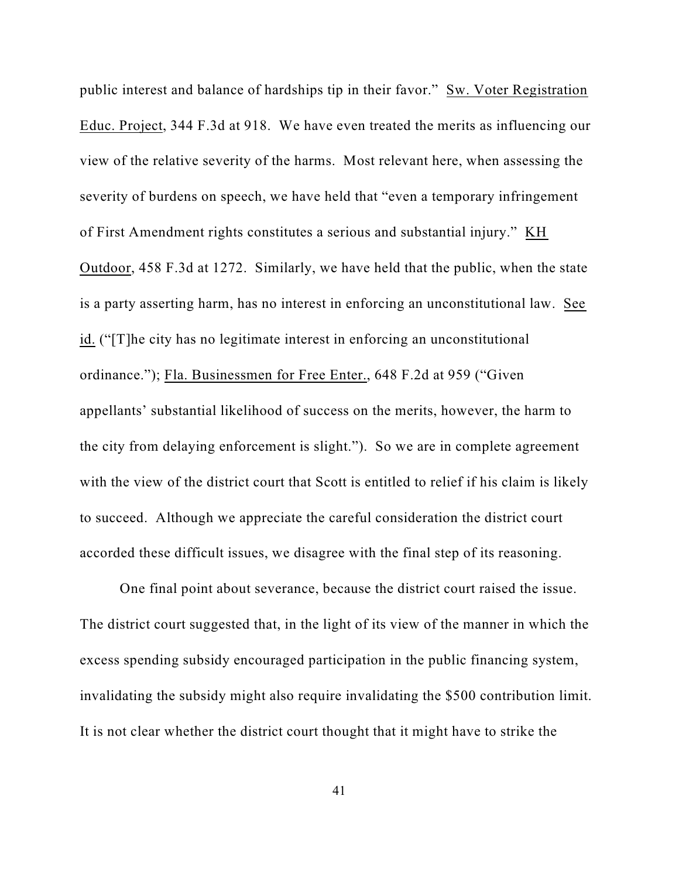public interest and balance of hardships tip in their favor." Sw. Voter Registration Educ. Project, 344 F.3d at 918. We have even treated the merits as influencing our view of the relative severity of the harms. Most relevant here, when assessing the severity of burdens on speech, we have held that "even a temporary infringement of First Amendment rights constitutes a serious and substantial injury." KH Outdoor, 458 F.3d at 1272. Similarly, we have held that the public, when the state is a party asserting harm, has no interest in enforcing an unconstitutional law. See id. ("[T]he city has no legitimate interest in enforcing an unconstitutional ordinance."); Fla. Businessmen for Free Enter., 648 F.2d at 959 ("Given appellants' substantial likelihood of success on the merits, however, the harm to the city from delaying enforcement is slight."). So we are in complete agreement with the view of the district court that Scott is entitled to relief if his claim is likely to succeed. Although we appreciate the careful consideration the district court accorded these difficult issues, we disagree with the final step of its reasoning.

One final point about severance, because the district court raised the issue. The district court suggested that, in the light of its view of the manner in which the excess spending subsidy encouraged participation in the public financing system, invalidating the subsidy might also require invalidating the \$500 contribution limit. It is not clear whether the district court thought that it might have to strike the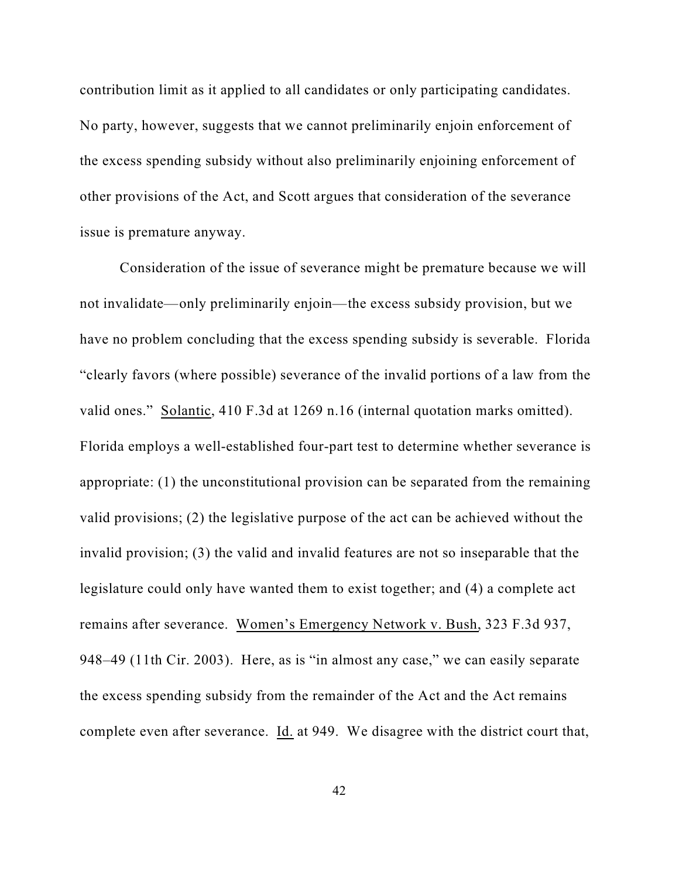contribution limit as it applied to all candidates or only participating candidates. No party, however, suggests that we cannot preliminarily enjoin enforcement of the excess spending subsidy without also preliminarily enjoining enforcement of other provisions of the Act, and Scott argues that consideration of the severance issue is premature anyway.

Consideration of the issue of severance might be premature because we will not invalidate—only preliminarily enjoin—the excess subsidy provision, but we have no problem concluding that the excess spending subsidy is severable. Florida "clearly favors (where possible) severance of the invalid portions of a law from the valid ones." Solantic, 410 F.3d at 1269 n.16 (internal quotation marks omitted). Florida employs a well-established four-part test to determine whether severance is appropriate: (1) the unconstitutional provision can be separated from the remaining valid provisions; (2) the legislative purpose of the act can be achieved without the invalid provision; (3) the valid and invalid features are not so inseparable that the legislature could only have wanted them to exist together; and (4) a complete act remains after severance. Women's Emergency Network v. Bush, 323 F.3d 937, 948–49 (11th Cir. 2003). Here, as is "in almost any case," we can easily separate the excess spending subsidy from the remainder of the Act and the Act remains complete even after severance. Id. at 949. We disagree with the district court that,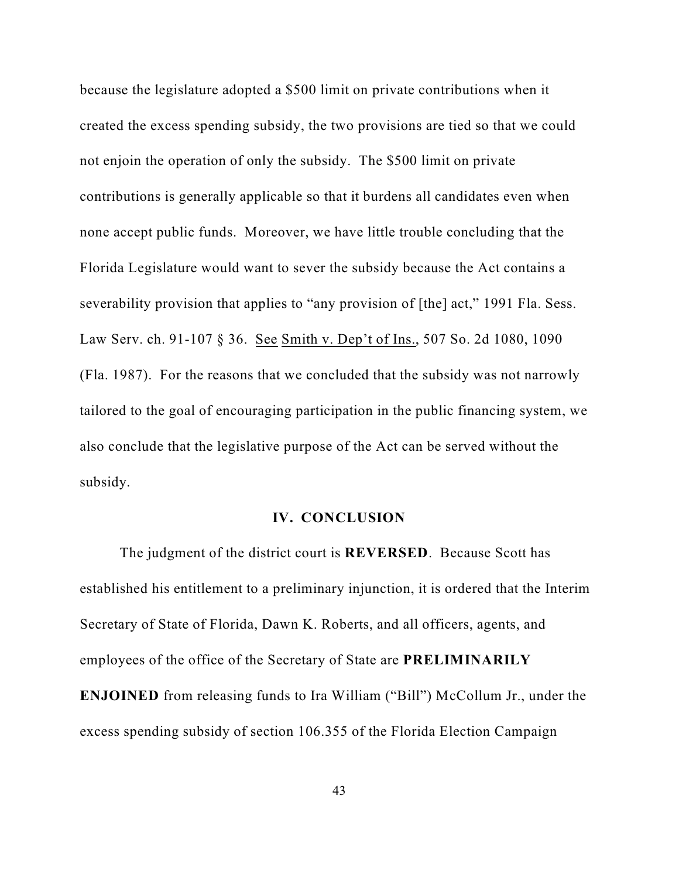because the legislature adopted a \$500 limit on private contributions when it created the excess spending subsidy, the two provisions are tied so that we could not enjoin the operation of only the subsidy. The \$500 limit on private contributions is generally applicable so that it burdens all candidates even when none accept public funds. Moreover, we have little trouble concluding that the Florida Legislature would want to sever the subsidy because the Act contains a severability provision that applies to "any provision of [the] act," 1991 Fla. Sess. Law Serv. ch. 91-107 § 36. See Smith v. Dep't of Ins., 507 So. 2d 1080, 1090 (Fla. 1987). For the reasons that we concluded that the subsidy was not narrowly tailored to the goal of encouraging participation in the public financing system, we also conclude that the legislative purpose of the Act can be served without the subsidy.

### **IV. CONCLUSION**

The judgment of the district court is **REVERSED**. Because Scott has established his entitlement to a preliminary injunction, it is ordered that the Interim Secretary of State of Florida, Dawn K. Roberts, and all officers, agents, and employees of the office of the Secretary of State are **PRELIMINARILY ENJOINED** from releasing funds to Ira William ("Bill") McCollum Jr., under the excess spending subsidy of section 106.355 of the Florida Election Campaign